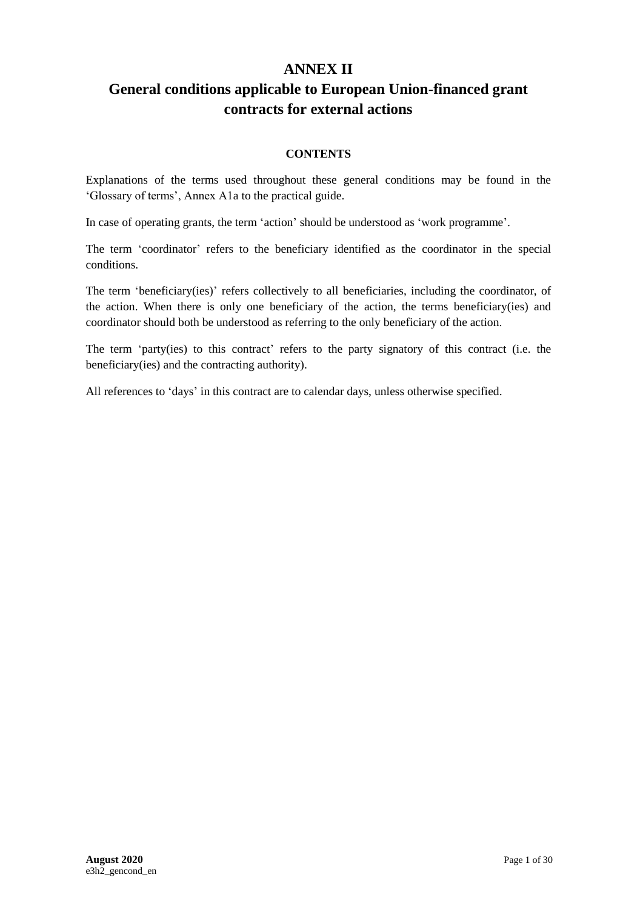## **ANNEX II**

## **General conditions applicable to European Union-financed grant contracts for external actions**

## **CONTENTS**

Explanations of the terms used throughout these general conditions may be found in the 'Glossary of terms', Annex A1a to the practical guide.

In case of operating grants, the term 'action' should be understood as 'work programme'.

The term 'coordinator' refers to the beneficiary identified as the coordinator in the special conditions.

The term 'beneficiary(ies)' refers collectively to all beneficiaries, including the coordinator, of the action. When there is only one beneficiary of the action, the terms beneficiary(ies) and coordinator should both be understood as referring to the only beneficiary of the action.

The term 'party(ies) to this contract' refers to the party signatory of this contract (i.e. the beneficiary(ies) and the contracting authority).

All references to 'days' in this contract are to calendar days, unless otherwise specified.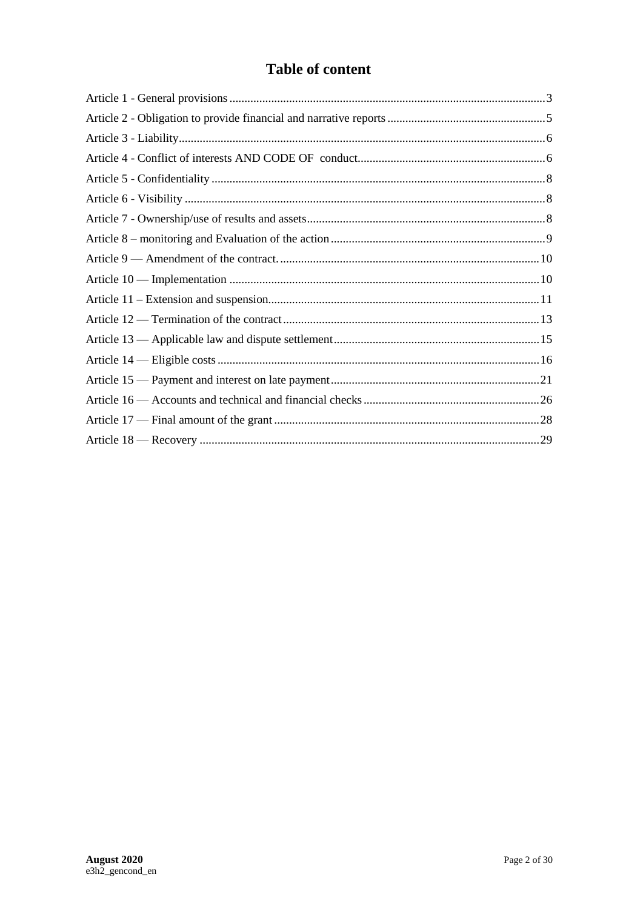# **Table of content**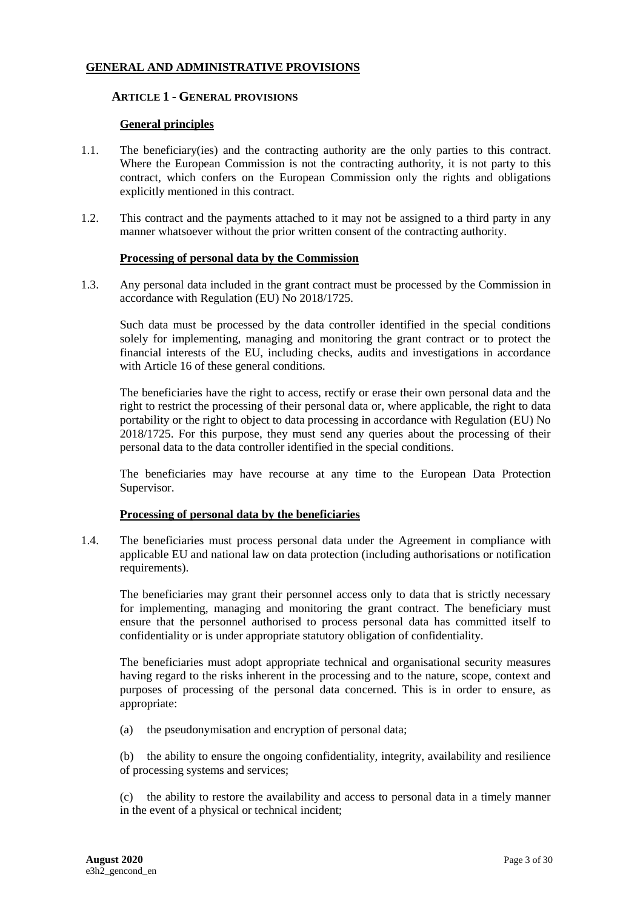## <span id="page-2-0"></span>**GENERAL AND ADMINISTRATIVE PROVISIONS**

#### **1. ARTICLE 1 - GENERAL PROVISIONS**

#### **General principles**

- 1.1. The beneficiary(ies) and the contracting authority are the only parties to this contract. Where the European Commission is not the contracting authority, it is not party to this contract, which confers on the European Commission only the rights and obligations explicitly mentioned in this contract.
- 1.2. This contract and the payments attached to it may not be assigned to a third party in any manner whatsoever without the prior written consent of the contracting authority.

#### **Processing of personal data by the Commission**

1.3. Any personal data included in the grant contract must be processed by the Commission in accordance with Regulation (EU) No 2018/1725.

Such data must be processed by the data controller identified in the special conditions solely for implementing, managing and monitoring the grant contract or to protect the financial interests of the EU, including checks, audits and investigations in accordance with Article 16 of these general conditions.

The beneficiaries have the right to access, rectify or erase their own personal data and the right to restrict the processing of their personal data or, where applicable, the right to data portability or the right to object to data processing in accordance with Regulation (EU) No 2018/1725. For this purpose, they must send any queries about the processing of their personal data to the data controller identified in the special conditions.

The beneficiaries may have recourse at any time to the European Data Protection Supervisor.

#### **Processing of personal data by the beneficiaries**

1.4. The beneficiaries must process personal data under the Agreement in compliance with applicable EU and national law on data protection (including authorisations or notification requirements).

The beneficiaries may grant their personnel access only to data that is strictly necessary for implementing, managing and monitoring the grant contract. The beneficiary must ensure that the personnel authorised to process personal data has committed itself to confidentiality or is under appropriate statutory obligation of confidentiality.

The beneficiaries must adopt appropriate technical and organisational security measures having regard to the risks inherent in the processing and to the nature, scope, context and purposes of processing of the personal data concerned. This is in order to ensure, as appropriate:

(a) the pseudonymisation and encryption of personal data;

(b) the ability to ensure the ongoing confidentiality, integrity, availability and resilience of processing systems and services;

(c) the ability to restore the availability and access to personal data in a timely manner in the event of a physical or technical incident;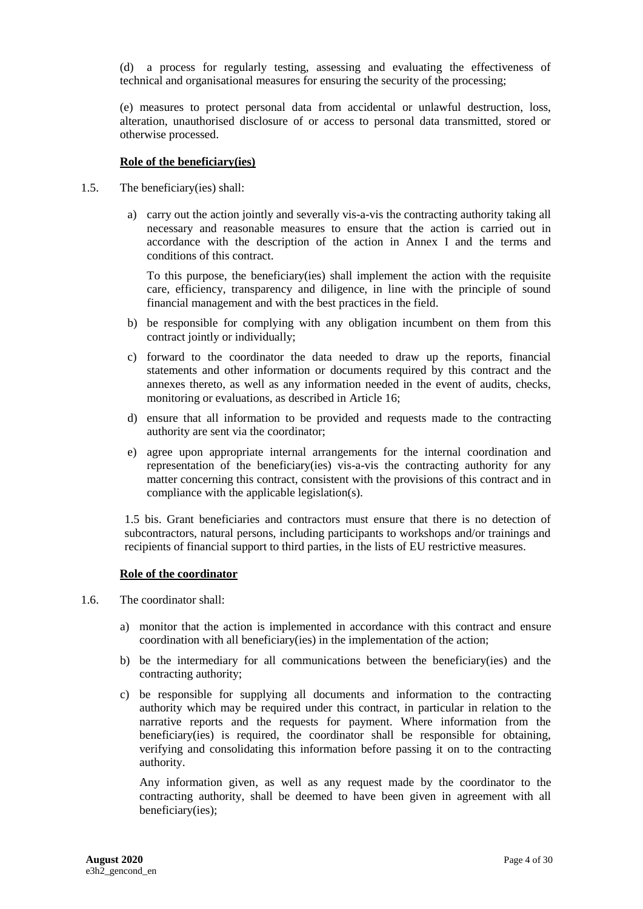(d) a process for regularly testing, assessing and evaluating the effectiveness of technical and organisational measures for ensuring the security of the processing;

(e) measures to protect personal data from accidental or unlawful destruction, loss, alteration, unauthorised disclosure of or access to personal data transmitted, stored or otherwise processed.

#### **Role of the beneficiary(ies)**

- 1.5. The beneficiary(ies) shall:
	- a) carry out the action jointly and severally vis-a-vis the contracting authority taking all necessary and reasonable measures to ensure that the action is carried out in accordance with the description of the action in Annex I and the terms and conditions of this contract.

To this purpose, the beneficiary(ies) shall implement the action with the requisite care, efficiency, transparency and diligence, in line with the principle of sound financial management and with the best practices in the field.

- b) be responsible for complying with any obligation incumbent on them from this contract jointly or individually;
- c) forward to the coordinator the data needed to draw up the reports, financial statements and other information or documents required by this contract and the annexes thereto, as well as any information needed in the event of audits, checks, monitoring or evaluations, as described in Article 16;
- d) ensure that all information to be provided and requests made to the contracting authority are sent via the coordinator;
- e) agree upon appropriate internal arrangements for the internal coordination and representation of the beneficiary(ies) vis-a-vis the contracting authority for any matter concerning this contract, consistent with the provisions of this contract and in compliance with the applicable legislation(s).

1.5 bis. Grant beneficiaries and contractors must ensure that there is no detection of subcontractors, natural persons, including participants to workshops and/or trainings and recipients of financial support to third parties, in the lists of EU restrictive measures.

#### **Role of the coordinator**

- 1.6. The coordinator shall:
	- a) monitor that the action is implemented in accordance with this contract and ensure coordination with all beneficiary(ies) in the implementation of the action;
	- b) be the intermediary for all communications between the beneficiary(ies) and the contracting authority;
	- c) be responsible for supplying all documents and information to the contracting authority which may be required under this contract, in particular in relation to the narrative reports and the requests for payment. Where information from the beneficiary(ies) is required, the coordinator shall be responsible for obtaining, verifying and consolidating this information before passing it on to the contracting authority.

Any information given, as well as any request made by the coordinator to the contracting authority, shall be deemed to have been given in agreement with all beneficiary(ies);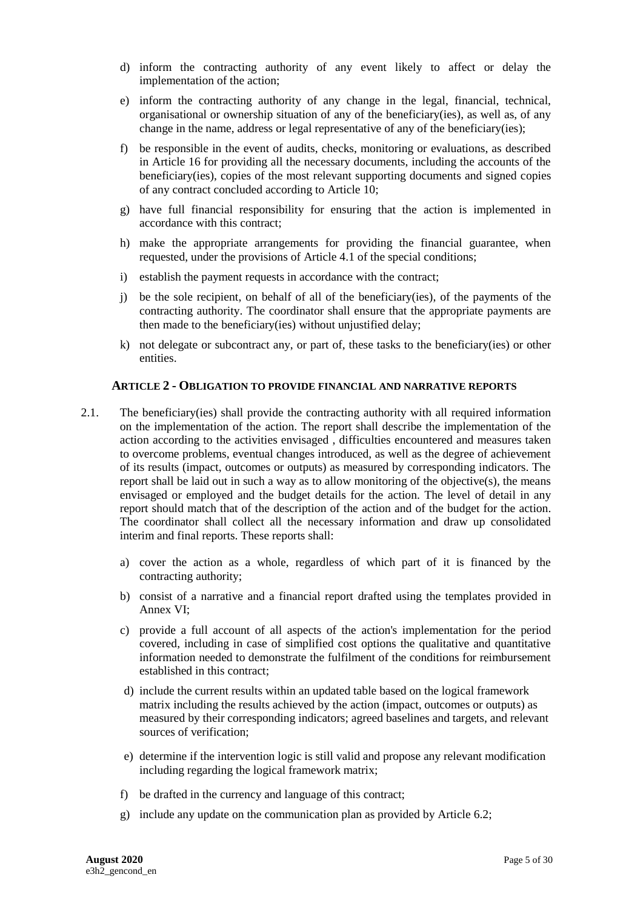- d) inform the contracting authority of any event likely to affect or delay the implementation of the action;
- e) inform the contracting authority of any change in the legal, financial, technical, organisational or ownership situation of any of the beneficiary(ies), as well as, of any change in the name, address or legal representative of any of the beneficiary(ies);
- f) be responsible in the event of audits, checks, monitoring or evaluations, as described in Article 16 for providing all the necessary documents, including the accounts of the beneficiary(ies), copies of the most relevant supporting documents and signed copies of any contract concluded according to Article 10;
- g) have full financial responsibility for ensuring that the action is implemented in accordance with this contract;
- h) make the appropriate arrangements for providing the financial guarantee, when requested, under the provisions of Article 4.1 of the special conditions;
- i) establish the payment requests in accordance with the contract;
- j) be the sole recipient, on behalf of all of the beneficiary(ies), of the payments of the contracting authority. The coordinator shall ensure that the appropriate payments are then made to the beneficiary(ies) without unjustified delay;
- k) not delegate or subcontract any, or part of, these tasks to the beneficiary(ies) or other entities.

#### <span id="page-4-1"></span><span id="page-4-0"></span>**2. ARTICLE 2 - OBLIGATION TO PROVIDE FINANCIAL AND NARRATIVE REPORTS**

- 2.1. The beneficiary(ies) shall provide the contracting authority with all required information on the implementation of the action. The report shall describe the implementation of the action according to the activities envisaged , difficulties encountered and measures taken to overcome problems, eventual changes introduced, as well as the degree of achievement of its results (impact, outcomes or outputs) as measured by corresponding indicators. The report shall be laid out in such a way as to allow monitoring of the objective(s), the means envisaged or employed and the budget details for the action. The level of detail in any report should match that of the description of the action and of the budget for the action. The coordinator shall collect all the necessary information and draw up consolidated interim and final reports. These reports shall:
	- a) cover the action as a whole, regardless of which part of it is financed by the contracting authority;
	- b) consist of a narrative and a financial report drafted using the templates provided in Annex VI;
	- c) provide a full account of all aspects of the action's implementation for the period covered, including in case of simplified cost options the qualitative and quantitative information needed to demonstrate the fulfilment of the conditions for reimbursement established in this contract;
	- d) include the current results within an updated table based on the logical framework matrix including the results achieved by the action (impact, outcomes or outputs) as measured by their corresponding indicators; agreed baselines and targets, and relevant sources of verification;
	- e) determine if the intervention logic is still valid and propose any relevant modification including regarding the logical framework matrix;
	- f) be drafted in the currency and language of this contract;
	- g) include any update on the communication plan as provided by Article 6.2;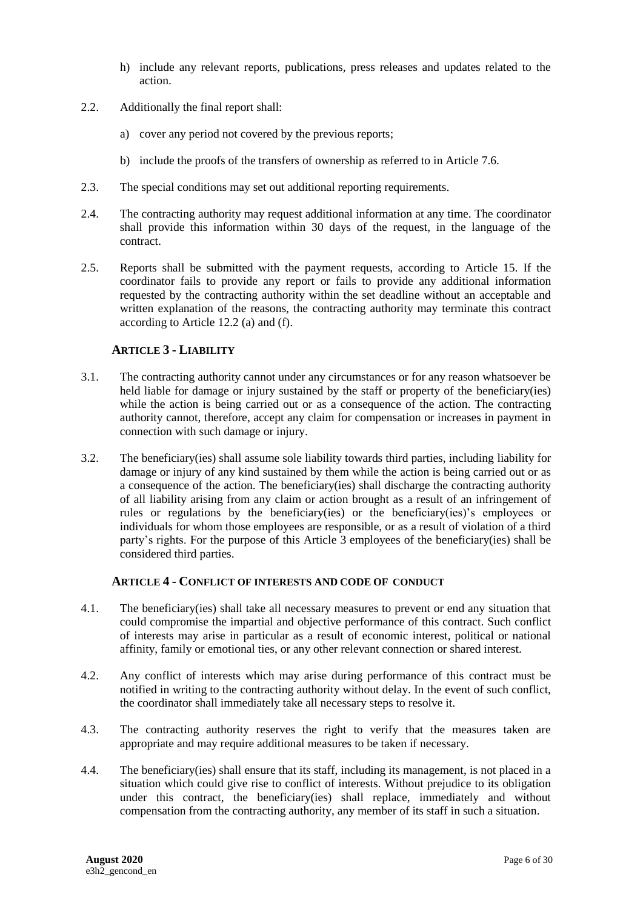- h) include any relevant reports, publications, press releases and updates related to the action.
- 2.2. Additionally the final report shall:
	- a) cover any period not covered by the previous reports;
	- b) include the proofs of the transfers of ownership as referred to in Article 7.6.
- 2.3. The special conditions may set out additional reporting requirements.
- 2.4. The contracting authority may request additional information at any time. The coordinator shall provide this information within 30 days of the request, in the language of the contract.
- 2.5. Reports shall be submitted with the payment requests, according to Article 15. If the coordinator fails to provide any report or fails to provide any additional information requested by the contracting authority within the set deadline without an acceptable and written explanation of the reasons, the contracting authority may terminate this contract according to Article 12.2 (a) and (f).

## <span id="page-5-0"></span>**3. ARTICLE 3 - LIABILITY**

- 3.1. The contracting authority cannot under any circumstances or for any reason whatsoever be held liable for damage or injury sustained by the staff or property of the beneficiary(ies) while the action is being carried out or as a consequence of the action. The contracting authority cannot, therefore, accept any claim for compensation or increases in payment in connection with such damage or injury.
- 3.2. The beneficiary(ies) shall assume sole liability towards third parties, including liability for damage or injury of any kind sustained by them while the action is being carried out or as a consequence of the action. The beneficiary(ies) shall discharge the contracting authority of all liability arising from any claim or action brought as a result of an infringement of rules or regulations by the beneficiary(ies) or the beneficiary(ies)'s employees or individuals for whom those employees are responsible, or as a result of violation of a third party's rights. For the purpose of this Article 3 employees of the beneficiary(ies) shall be considered third parties.

#### <span id="page-5-1"></span>**4. ARTICLE 4 - CONFLICT OF INTERESTS AND CODE OF CONDUCT**

- 4.1. The beneficiary(ies) shall take all necessary measures to prevent or end any situation that could compromise the impartial and objective performance of this contract. Such conflict of interests may arise in particular as a result of economic interest, political or national affinity, family or emotional ties, or any other relevant connection or shared interest.
- 4.2. Any conflict of interests which may arise during performance of this contract must be notified in writing to the contracting authority without delay. In the event of such conflict, the coordinator shall immediately take all necessary steps to resolve it.
- 4.3. The contracting authority reserves the right to verify that the measures taken are appropriate and may require additional measures to be taken if necessary.
- 4.4. The beneficiary(ies) shall ensure that its staff, including its management, is not placed in a situation which could give rise to conflict of interests. Without prejudice to its obligation under this contract, the beneficiary(ies) shall replace, immediately and without compensation from the contracting authority, any member of its staff in such a situation.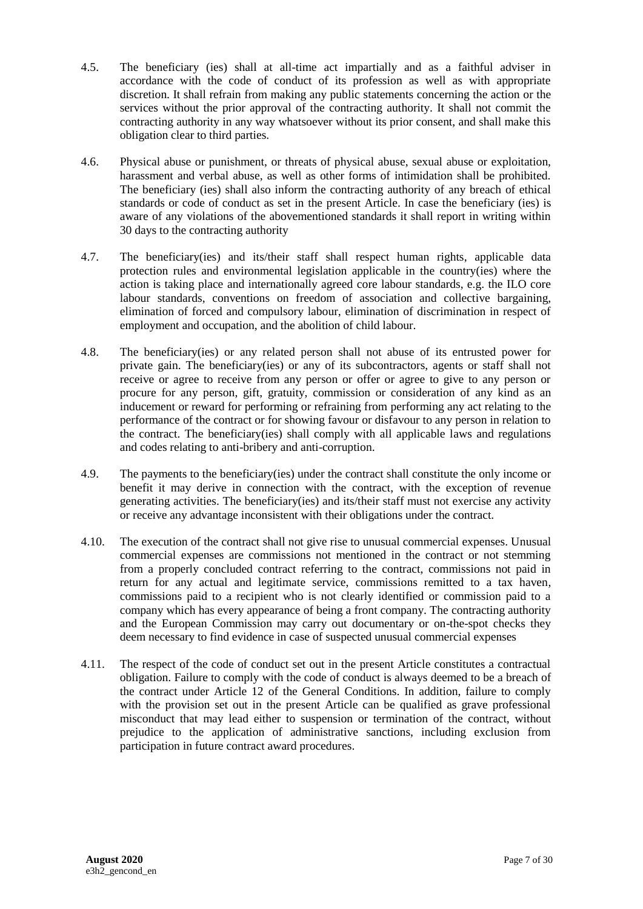- 4.5. The beneficiary (ies) shall at all-time act impartially and as a faithful adviser in accordance with the code of conduct of its profession as well as with appropriate discretion. It shall refrain from making any public statements concerning the action or the services without the prior approval of the contracting authority. It shall not commit the contracting authority in any way whatsoever without its prior consent, and shall make this obligation clear to third parties.
- 4.6. Physical abuse or punishment, or threats of physical abuse, sexual abuse or exploitation, harassment and verbal abuse, as well as other forms of intimidation shall be prohibited. The beneficiary (ies) shall also inform the contracting authority of any breach of ethical standards or code of conduct as set in the present Article. In case the beneficiary (ies) is aware of any violations of the abovementioned standards it shall report in writing within 30 days to the contracting authority
- 4.7. The beneficiary(ies) and its/their staff shall respect human rights, applicable data protection rules and environmental legislation applicable in the country(ies) where the action is taking place and internationally agreed core labour standards, e.g. the ILO core labour standards, conventions on freedom of association and collective bargaining, elimination of forced and compulsory labour, elimination of discrimination in respect of employment and occupation, and the abolition of child labour.
- 4.8. The beneficiary(ies) or any related person shall not abuse of its entrusted power for private gain. The beneficiary(ies) or any of its subcontractors, agents or staff shall not receive or agree to receive from any person or offer or agree to give to any person or procure for any person, gift, gratuity, commission or consideration of any kind as an inducement or reward for performing or refraining from performing any act relating to the performance of the contract or for showing favour or disfavour to any person in relation to the contract. The beneficiary(ies) shall comply with all applicable laws and regulations and codes relating to anti-bribery and anti-corruption.
- 4.9. The payments to the beneficiary(ies) under the contract shall constitute the only income or benefit it may derive in connection with the contract, with the exception of revenue generating activities. The beneficiary(ies) and its/their staff must not exercise any activity or receive any advantage inconsistent with their obligations under the contract.
- 4.10. The execution of the contract shall not give rise to unusual commercial expenses. Unusual commercial expenses are commissions not mentioned in the contract or not stemming from a properly concluded contract referring to the contract, commissions not paid in return for any actual and legitimate service, commissions remitted to a tax haven, commissions paid to a recipient who is not clearly identified or commission paid to a company which has every appearance of being a front company. The contracting authority and the European Commission may carry out documentary or on-the-spot checks they deem necessary to find evidence in case of suspected unusual commercial expenses
- 4.11. The respect of the code of conduct set out in the present Article constitutes a contractual obligation. Failure to comply with the code of conduct is always deemed to be a breach of the contract under Article 12 of the General Conditions. In addition, failure to comply with the provision set out in the present Article can be qualified as grave professional misconduct that may lead either to suspension or termination of the contract, without prejudice to the application of administrative sanctions, including exclusion from participation in future contract award procedures.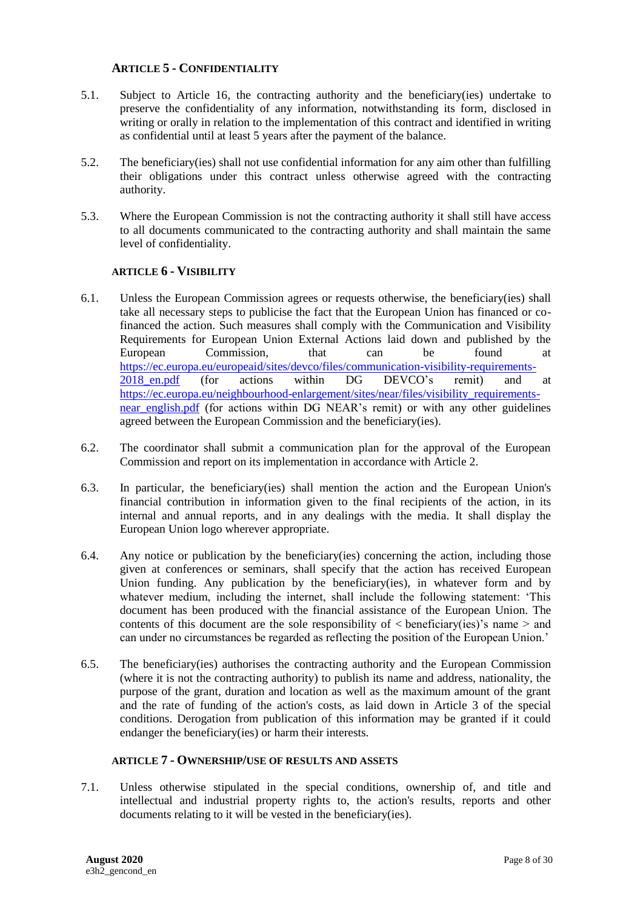## <span id="page-7-0"></span>**5. ARTICLE 5 - CONFIDENTIALITY**

- 5.1. Subject to Article 16, the contracting authority and the beneficiary(ies) undertake to preserve the confidentiality of any information, notwithstanding its form, disclosed in writing or orally in relation to the implementation of this contract and identified in writing as confidential until at least 5 years after the payment of the balance.
- 5.2. The beneficiary(ies) shall not use confidential information for any aim other than fulfilling their obligations under this contract unless otherwise agreed with the contracting authority.
- 5.3. Where the European Commission is not the contracting authority it shall still have access to all documents communicated to the contracting authority and shall maintain the same level of confidentiality.

## **6. ARTICLE 6 - VISIBILITY**

- <span id="page-7-1"></span>6.1. Unless the European Commission agrees or requests otherwise, the beneficiary(ies) shall take all necessary steps to publicise the fact that the European Union has financed or cofinanced the action. Such measures shall comply with the Communication and Visibility Requirements for European Union External Actions laid down and published by the European Commission, that can be found at [https://ec.europa.eu/europeaid/sites/devco/files/communication-visibility-requirements-](https://ec.europa.eu/europeaid/sites/devco/files/communication-visibility-requirements-2018_en.pdf)2018 en.pdf (for actions within DG DEVCO's remit) and at [https://ec.europa.eu/neighbourhood-enlargement/sites/near/files/visibility\\_requirements](https://ec.europa.eu/neighbourhood-enlargement/sites/near/files/visibility_requirements-near_english.pdf)near english.pdf (for actions within DG NEAR's remit) or with any other guidelines agreed between the European Commission and the beneficiary(ies).
- 6.2. The coordinator shall submit a communication plan for the approval of the European Commission and report on its implementation in accordance with Article 2.
- 6.3. In particular, the beneficiary(ies) shall mention the action and the European Union's financial contribution in information given to the final recipients of the action, in its internal and annual reports, and in any dealings with the media. It shall display the European Union logo wherever appropriate.
- 6.4. Any notice or publication by the beneficiary(ies) concerning the action, including those given at conferences or seminars, shall specify that the action has received European Union funding. Any publication by the beneficiary(ies), in whatever form and by whatever medium, including the internet, shall include the following statement: 'This document has been produced with the financial assistance of the European Union. The contents of this document are the sole responsibility of  $\lt$  beneficiary(ies)'s name  $>$  and can under no circumstances be regarded as reflecting the position of the European Union.'
- 6.5. The beneficiary(ies) authorises the contracting authority and the European Commission (where it is not the contracting authority) to publish its name and address, nationality, the purpose of the grant, duration and location as well as the maximum amount of the grant and the rate of funding of the action's costs, as laid down in Article 3 of the special conditions. Derogation from publication of this information may be granted if it could endanger the beneficiary(ies) or harm their interests.

#### <span id="page-7-2"></span>**7. ARTICLE 7 - OWNERSHIP/USE OF RESULTS AND ASSETS**

<span id="page-7-3"></span>7.1. Unless otherwise stipulated in the special conditions, ownership of, and title and intellectual and industrial property rights to, the action's results, reports and other documents relating to it will be vested in the beneficiary(ies).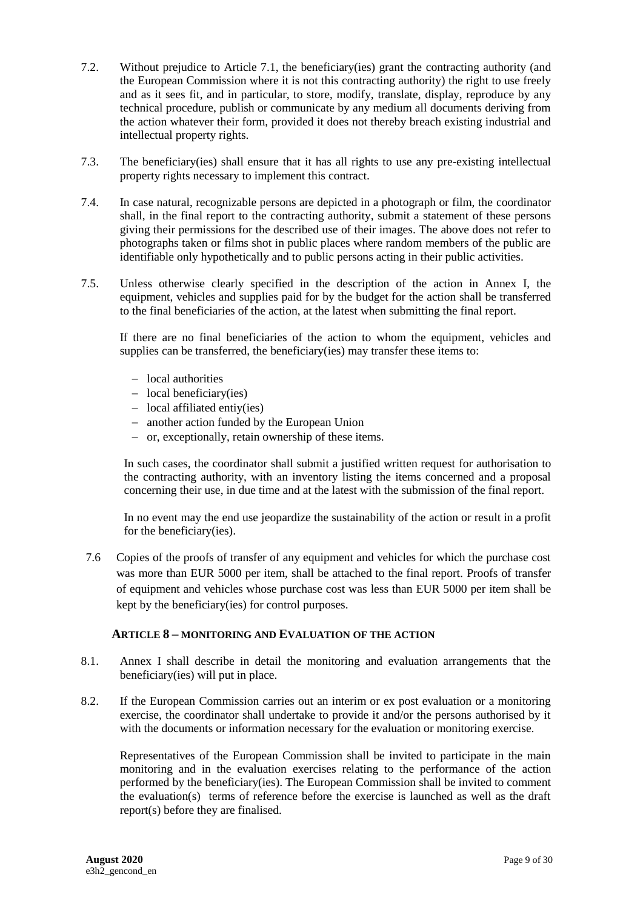- 7.2. Without prejudice to Article [7.1,](#page-7-3) the beneficiary(ies) grant the contracting authority (and the European Commission where it is not this contracting authority) the right to use freely and as it sees fit, and in particular, to store, modify, translate, display, reproduce by any technical procedure, publish or communicate by any medium all documents deriving from the action whatever their form, provided it does not thereby breach existing industrial and intellectual property rights.
- 7.3. The beneficiary(ies) shall ensure that it has all rights to use any pre-existing intellectual property rights necessary to implement this contract.
- 7.4. In case natural, recognizable persons are depicted in a photograph or film, the coordinator shall, in the final report to the contracting authority, submit a statement of these persons giving their permissions for the described use of their images. The above does not refer to photographs taken or films shot in public places where random members of the public are identifiable only hypothetically and to public persons acting in their public activities.
- 7.5. Unless otherwise clearly specified in the description of the action in Annex I, the equipment, vehicles and supplies paid for by the budget for the action shall be transferred to the final beneficiaries of the action, at the latest when submitting the final report.

If there are no final beneficiaries of the action to whom the equipment, vehicles and supplies can be transferred, the beneficiary(ies) may transfer these items to:

- local authorities
- $-$  local beneficiary(ies)
- $-$  local affiliated entiy(ies)
- another action funded by the European Union
- $\overline{\phantom{a}}$  or, exceptionally, retain ownership of these items.

In such cases, the coordinator shall submit a justified written request for authorisation to the contracting authority, with an inventory listing the items concerned and a proposal concerning their use, in due time and at the latest with the submission of the final report.

In no event may the end use jeopardize the sustainability of the action or result in a profit for the beneficiary(ies).

7.6 Copies of the proofs of transfer of any equipment and vehicles for which the purchase cost was more than EUR 5000 per item, shall be attached to the final report. Proofs of transfer of equipment and vehicles whose purchase cost was less than EUR 5000 per item shall be kept by the beneficiary(ies) for control purposes.

#### <span id="page-8-0"></span>**8. ARTICLE 8 – MONITORING AND EVALUATION OF THE ACTION**

- 8.1. Annex I shall describe in detail the monitoring and evaluation arrangements that the beneficiary(ies) will put in place.
- 8.2. If the European Commission carries out an interim or ex post evaluation or a monitoring exercise, the coordinator shall undertake to provide it and/or the persons authorised by it with the documents or information necessary for the evaluation or monitoring exercise.

Representatives of the European Commission shall be invited to participate in the main monitoring and in the evaluation exercises relating to the performance of the action performed by the beneficiary(ies). The European Commission shall be invited to comment the evaluation(s) terms of reference before the exercise is launched as well as the draft report(s) before they are finalised.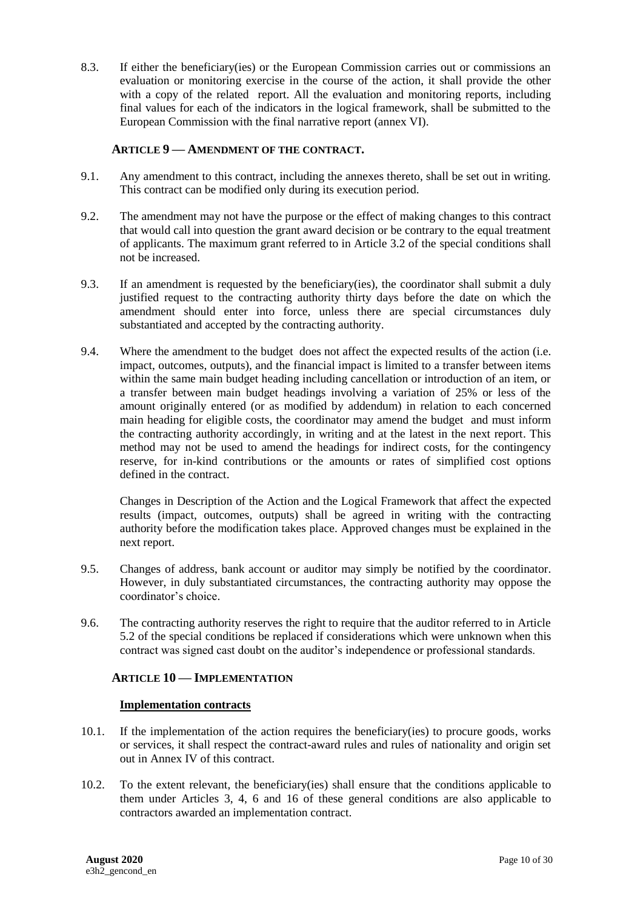8.3. If either the beneficiary(ies) or the European Commission carries out or commissions an evaluation or monitoring exercise in the course of the action, it shall provide the other with a copy of the related report. All the evaluation and monitoring reports, including final values for each of the indicators in the logical framework, shall be submitted to the European Commission with the final narrative report (annex VI).

## <span id="page-9-0"></span>**9. ARTICLE 9 — AMENDMENT OF THE CONTRACT.**

- 9.1. Any amendment to this contract, including the annexes thereto, shall be set out in writing. This contract can be modified only during its execution period.
- 9.2. The amendment may not have the purpose or the effect of making changes to this contract that would call into question the grant award decision or be contrary to the equal treatment of applicants. The maximum grant referred to in Article 3.2 of the special conditions shall not be increased.
- 9.3. If an amendment is requested by the beneficiary(ies), the coordinator shall submit a duly justified request to the contracting authority thirty days before the date on which the amendment should enter into force, unless there are special circumstances duly substantiated and accepted by the contracting authority.
- 9.4. Where the amendment to the budget does not affect the expected results of the action (i.e. impact, outcomes, outputs), and the financial impact is limited to a transfer between items within the same main budget heading including cancellation or introduction of an item, or a transfer between main budget headings involving a variation of 25% or less of the amount originally entered (or as modified by addendum) in relation to each concerned main heading for eligible costs, the coordinator may amend the budget and must inform the contracting authority accordingly, in writing and at the latest in the next report. This method may not be used to amend the headings for indirect costs, for the contingency reserve, for in-kind contributions or the amounts or rates of simplified cost options defined in the contract.

Changes in Description of the Action and the Logical Framework that affect the expected results (impact, outcomes, outputs) shall be agreed in writing with the contracting authority before the modification takes place. Approved changes must be explained in the next report.

- 9.5. Changes of address, bank account or auditor may simply be notified by the coordinator. However, in duly substantiated circumstances, the contracting authority may oppose the coordinator's choice.
- 9.6. The contracting authority reserves the right to require that the auditor referred to in Article 5.2 of the special conditions be replaced if considerations which were unknown when this contract was signed cast doubt on the auditor's independence or professional standards.

#### <span id="page-9-1"></span>**10. ARTICLE 10 — IMPLEMENTATION**

#### **Implementation contracts**

- 10.1. If the implementation of the action requires the beneficiary(ies) to procure goods, works or services, it shall respect the contract-award rules and rules of nationality and origin set out in Annex IV of this contract.
- 10.2. To the extent relevant, the beneficiary(ies) shall ensure that the conditions applicable to them under Articles 3, 4, 6 and 16 of these general conditions are also applicable to contractors awarded an implementation contract.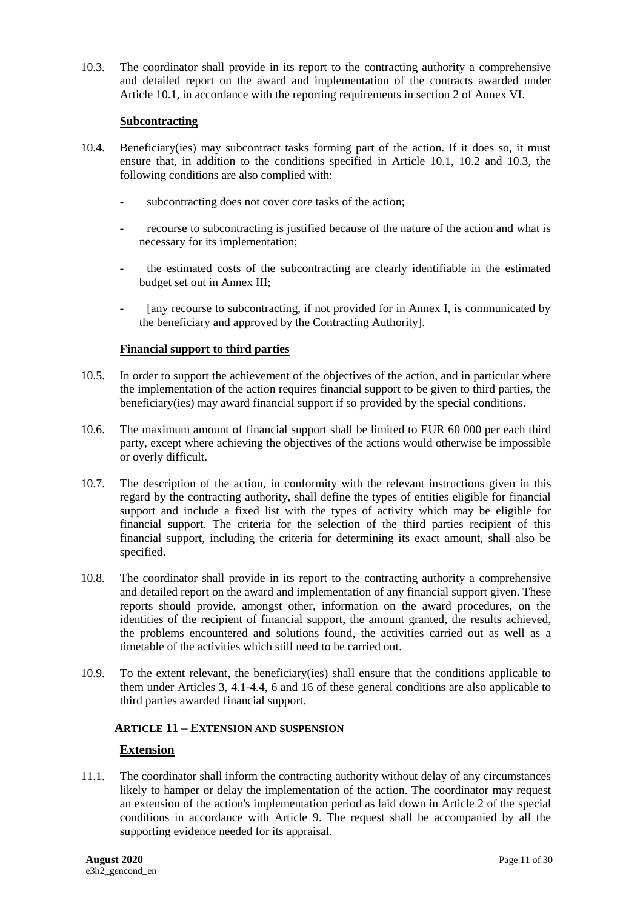10.3. The coordinator shall provide in its report to the contracting authority a comprehensive and detailed report on the award and implementation of the contracts awarded under Article 10.1, in accordance with the reporting requirements in section 2 of Annex VI.

## **Subcontracting**

- 10.4. Beneficiary(ies) may subcontract tasks forming part of the action. If it does so, it must ensure that, in addition to the conditions specified in Article 10.1, 10.2 and 10.3, the following conditions are also complied with:
	- subcontracting does not cover core tasks of the action;
	- recourse to subcontracting is justified because of the nature of the action and what is necessary for its implementation;
	- the estimated costs of the subcontracting are clearly identifiable in the estimated budget set out in Annex III;
	- [any recourse to subcontracting, if not provided for in Annex I, is communicated by the beneficiary and approved by the Contracting Authority].

## **Financial support to third parties**

- 10.5. In order to support the achievement of the objectives of the action, and in particular where the implementation of the action requires financial support to be given to third parties, the beneficiary(ies) may award financial support if so provided by the special conditions.
- 10.6. The maximum amount of financial support shall be limited to EUR 60 000 per each third party, except where achieving the objectives of the actions would otherwise be impossible or overly difficult.
- 10.7. The description of the action, in conformity with the relevant instructions given in this regard by the contracting authority, shall define the types of entities eligible for financial support and include a fixed list with the types of activity which may be eligible for financial support. The criteria for the selection of the third parties recipient of this financial support, including the criteria for determining its exact amount, shall also be specified.
- 10.8. The coordinator shall provide in its report to the contracting authority a comprehensive and detailed report on the award and implementation of any financial support given. These reports should provide, amongst other, information on the award procedures, on the identities of the recipient of financial support, the amount granted, the results achieved, the problems encountered and solutions found, the activities carried out as well as a timetable of the activities which still need to be carried out.
- 10.9. To the extent relevant, the beneficiary(ies) shall ensure that the conditions applicable to them under Articles 3, 4.1-4.4, 6 and 16 of these general conditions are also applicable to third parties awarded financial support.

## <span id="page-10-0"></span>**11. ARTICLE 11 – EXTENSION AND SUSPENSION**

## **Extension**

11.1. The coordinator shall inform the contracting authority without delay of any circumstances likely to hamper or delay the implementation of the action. The coordinator may request an extension of the action's implementation period as laid down in Article 2 of the special conditions in accordance with Article 9. The request shall be accompanied by all the supporting evidence needed for its appraisal.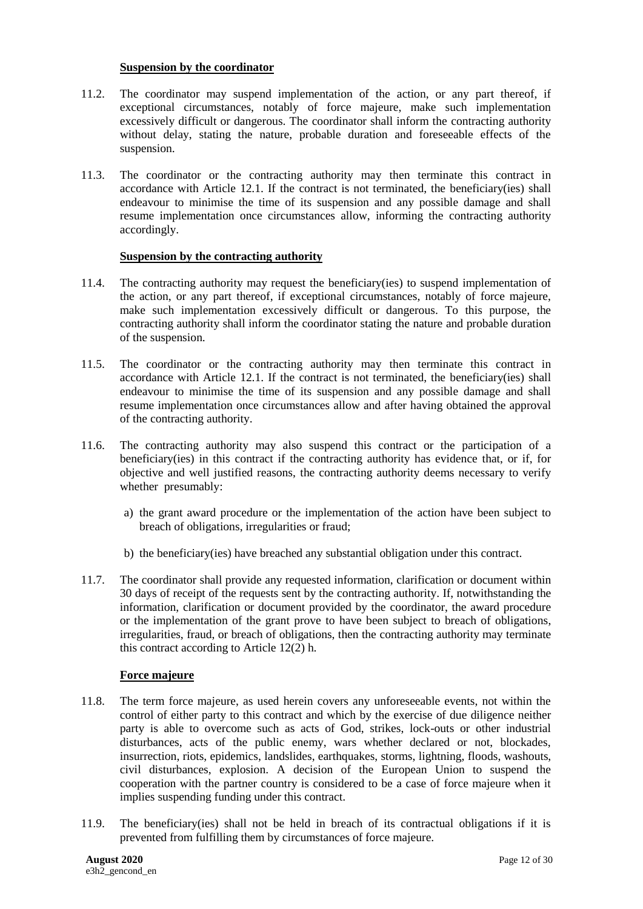#### **Suspension by the coordinator**

- 11.2. The coordinator may suspend implementation of the action, or any part thereof, if exceptional circumstances, notably of force majeure, make such implementation excessively difficult or dangerous. The coordinator shall inform the contracting authority without delay, stating the nature, probable duration and foreseeable effects of the suspension.
- 11.3. The coordinator or the contracting authority may then terminate this contract in accordance with Article 12.1. If the contract is not terminated, the beneficiary(ies) shall endeavour to minimise the time of its suspension and any possible damage and shall resume implementation once circumstances allow, informing the contracting authority accordingly.

#### **Suspension by the contracting authority**

- 11.4. The contracting authority may request the beneficiary(ies) to suspend implementation of the action, or any part thereof, if exceptional circumstances, notably of force majeure, make such implementation excessively difficult or dangerous. To this purpose, the contracting authority shall inform the coordinator stating the nature and probable duration of the suspension.
- 11.5. The coordinator or the contracting authority may then terminate this contract in accordance with Article 12.1. If the contract is not terminated, the beneficiary(ies) shall endeavour to minimise the time of its suspension and any possible damage and shall resume implementation once circumstances allow and after having obtained the approval of the contracting authority.
- 11.6. The contracting authority may also suspend this contract or the participation of a beneficiary(ies) in this contract if the contracting authority has evidence that, or if, for objective and well justified reasons, the contracting authority deems necessary to verify whether presumably:
	- a) the grant award procedure or the implementation of the action have been subject to breach of obligations, irregularities or fraud;
	- b) the beneficiary(ies) have breached any substantial obligation under this contract.
- 11.7. The coordinator shall provide any requested information, clarification or document within 30 days of receipt of the requests sent by the contracting authority. If, notwithstanding the information, clarification or document provided by the coordinator, the award procedure or the implementation of the grant prove to have been subject to breach of obligations, irregularities, fraud, or breach of obligations, then the contracting authority may terminate this contract according to Article 12(2) h.

#### **Force majeure**

- 11.8. The term force majeure, as used herein covers any unforeseeable events, not within the control of either party to this contract and which by the exercise of due diligence neither party is able to overcome such as acts of God, strikes, lock-outs or other industrial disturbances, acts of the public enemy, wars whether declared or not, blockades, insurrection, riots, epidemics, landslides, earthquakes, storms, lightning, floods, washouts, civil disturbances, explosion. A decision of the European Union to suspend the cooperation with the partner country is considered to be a case of force majeure when it implies suspending funding under this contract.
- 11.9. The beneficiary(ies) shall not be held in breach of its contractual obligations if it is prevented from fulfilling them by circumstances of force majeure.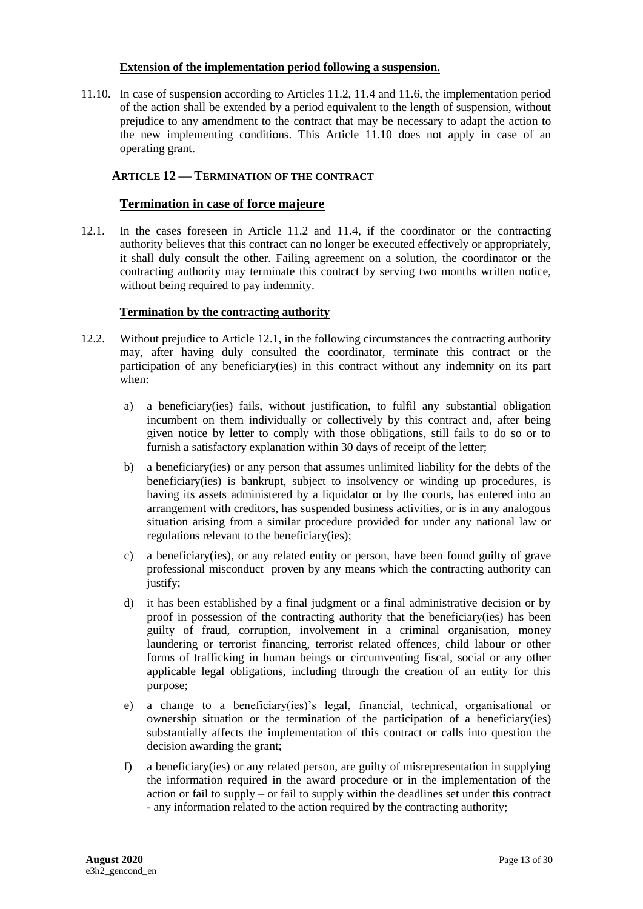#### **Extension of the implementation period following a suspension.**

11.10. In case of suspension according to Articles 11.2, 11.4 and 11.6, the implementation period of the action shall be extended by a period equivalent to the length of suspension, without prejudice to any amendment to the contract that may be necessary to adapt the action to the new implementing conditions. This Article 11.10 does not apply in case of an operating grant.

## <span id="page-12-0"></span>**12. ARTICLE 12 — TERMINATION OF THE CONTRACT**

#### **Termination in case of force majeure**

12.1. In the cases foreseen in Article 11.2 and 11.4, if the coordinator or the contracting authority believes that this contract can no longer be executed effectively or appropriately, it shall duly consult the other. Failing agreement on a solution, the coordinator or the contracting authority may terminate this contract by serving two months written notice, without being required to pay indemnity.

#### <span id="page-12-1"></span>**Termination by the contracting authority**

- 12.2. Without prejudice to Article 12.1, in the following circumstances the contracting authority may, after having duly consulted the coordinator, terminate this contract or the participation of any beneficiary(ies) in this contract without any indemnity on its part when:
	- a) a beneficiary(ies) fails, without justification, to fulfil any substantial obligation incumbent on them individually or collectively by this contract and, after being given notice by letter to comply with those obligations, still fails to do so or to furnish a satisfactory explanation within 30 days of receipt of the letter;
	- b) a beneficiary(ies) or any person that assumes unlimited liability for the debts of the beneficiary(ies) is bankrupt, subject to insolvency or winding up procedures, is having its assets administered by a liquidator or by the courts, has entered into an arrangement with creditors, has suspended business activities, or is in any analogous situation arising from a similar procedure provided for under any national law or regulations relevant to the beneficiary(ies);
	- c) a beneficiary(ies), or any related entity or person, have been found guilty of grave professional misconduct proven by any means which the contracting authority can justify;
	- d) it has been established by a final judgment or a final administrative decision or by proof in possession of the contracting authority that the beneficiary(ies) has been guilty of fraud, corruption, involvement in a criminal organisation, money laundering or terrorist financing, terrorist related offences, child labour or other forms of trafficking in human beings or circumventing fiscal, social or any other applicable legal obligations, including through the creation of an entity for this purpose;
	- e) a change to a beneficiary(ies)'s legal, financial, technical, organisational or ownership situation or the termination of the participation of a beneficiary(ies) substantially affects the implementation of this contract or calls into question the decision awarding the grant;
	- f) a beneficiary(ies) or any related person, are guilty of misrepresentation in supplying the information required in the award procedure or in the implementation of the action or fail to supply – or fail to supply within the deadlines set under this contract - any information related to the action required by the contracting authority;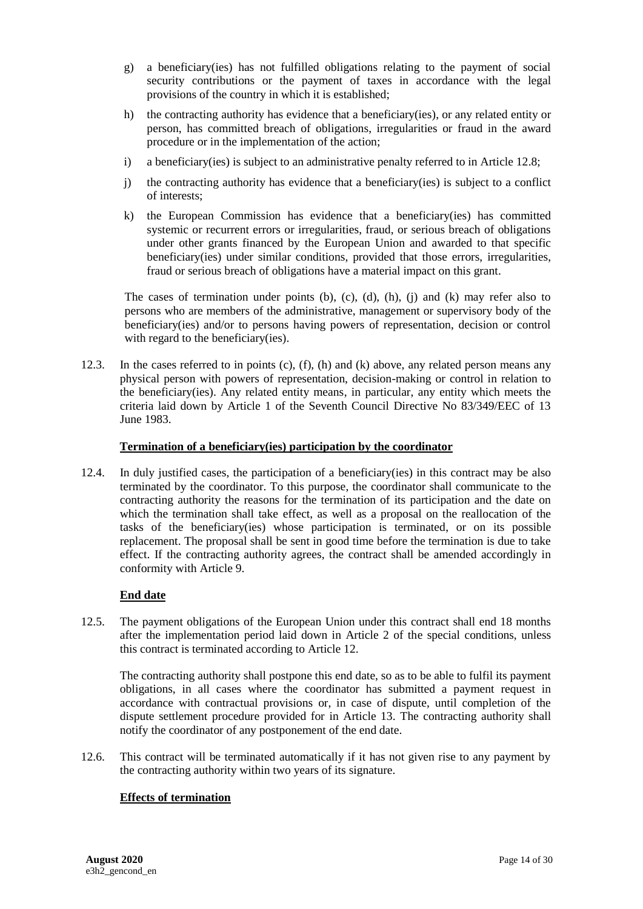- g) a beneficiary(ies) has not fulfilled obligations relating to the payment of social security contributions or the payment of taxes in accordance with the legal provisions of the country in which it is established;
- h) the contracting authority has evidence that a beneficiary(ies), or any related entity or person, has committed breach of obligations, irregularities or fraud in the award procedure or in the implementation of the action;
- i) a beneficiary(ies) is subject to an administrative penalty referred to in Article 12.8;
- j) the contracting authority has evidence that a beneficiary(ies) is subject to a conflict of interests;
- k) the European Commission has evidence that a beneficiary(ies) has committed systemic or recurrent errors or irregularities, fraud, or serious breach of obligations under other grants financed by the European Union and awarded to that specific beneficiary(ies) under similar conditions, provided that those errors, irregularities, fraud or serious breach of obligations have a material impact on this grant.

The cases of termination under points  $(b)$ ,  $(c)$ ,  $(d)$ ,  $(h)$ ,  $(i)$  and  $(k)$  may refer also to persons who are members of the administrative, management or supervisory body of the beneficiary(ies) and/or to persons having powers of representation, decision or control with regard to the beneficiary(ies).

12.3. In the cases referred to in points  $(c)$ ,  $(f)$ ,  $(h)$  and  $(k)$  above, any related person means any physical person with powers of representation, decision-making or control in relation to the beneficiary(ies). Any related entity means, in particular, any entity which meets the criteria laid down by Article 1 of the Seventh Council Directive No 83/349/EEC of 13 June 1983.

## **Termination of a beneficiary(ies) participation by the coordinator**

12.4. In duly justified cases, the participation of a beneficiary(ies) in this contract may be also terminated by the coordinator. To this purpose, the coordinator shall communicate to the contracting authority the reasons for the termination of its participation and the date on which the termination shall take effect, as well as a proposal on the reallocation of the tasks of the beneficiary(ies) whose participation is terminated, or on its possible replacement. The proposal shall be sent in good time before the termination is due to take effect. If the contracting authority agrees, the contract shall be amended accordingly in conformity with Article 9.

## **End date**

12.5. The payment obligations of the European Union under this contract shall end 18 months after the implementation period laid down in Article 2 of the special conditions, unless this contract is terminated according to Article 12.

The contracting authority shall postpone this end date, so as to be able to fulfil its payment obligations, in all cases where the coordinator has submitted a payment request in accordance with contractual provisions or, in case of dispute, until completion of the dispute settlement procedure provided for in Article 13. The contracting authority shall notify the coordinator of any postponement of the end date.

12.6. This contract will be terminated automatically if it has not given rise to any payment by the contracting authority within two years of its signature.

#### **Effects of termination**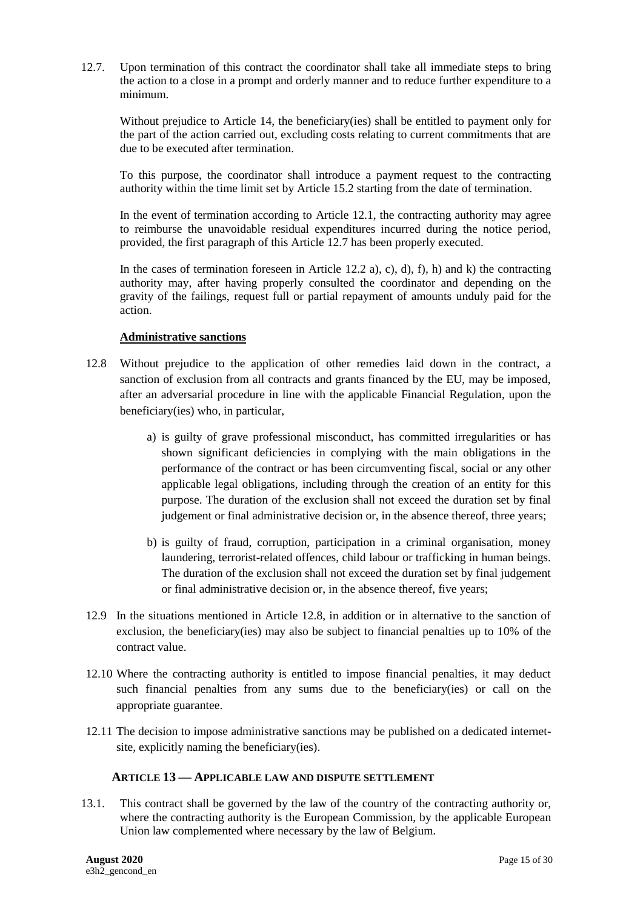12.7. Upon termination of this contract the coordinator shall take all immediate steps to bring the action to a close in a prompt and orderly manner and to reduce further expenditure to a minimum.

Without prejudice to Article 14, the beneficiary(ies) shall be entitled to payment only for the part of the action carried out, excluding costs relating to current commitments that are due to be executed after termination.

To this purpose, the coordinator shall introduce a payment request to the contracting authority within the time limit set by Article 15.2 starting from the date of termination.

In the event of termination according to Article 12.1, the contracting authority may agree to reimburse the unavoidable residual expenditures incurred during the notice period, provided, the first paragraph of this Article 12.7 has been properly executed.

In the cases of termination foreseen in Article [12.2](#page-12-1) a), c), d), f), h) and k) the contracting authority may, after having properly consulted the coordinator and depending on the gravity of the failings, request full or partial repayment of amounts unduly paid for the action.

## **Administrative sanctions**

- 12.8 Without prejudice to the application of other remedies laid down in the contract, a sanction of exclusion from all contracts and grants financed by the EU, may be imposed, after an adversarial procedure in line with the applicable Financial Regulation, upon the beneficiary(ies) who, in particular,
	- a) is guilty of grave professional misconduct, has committed irregularities or has shown significant deficiencies in complying with the main obligations in the performance of the contract or has been circumventing fiscal, social or any other applicable legal obligations, including through the creation of an entity for this purpose. The duration of the exclusion shall not exceed the duration set by final judgement or final administrative decision or, in the absence thereof, three years;
	- b) is guilty of fraud, corruption, participation in a criminal organisation, money laundering, terrorist-related offences, child labour or trafficking in human beings. The duration of the exclusion shall not exceed the duration set by final judgement or final administrative decision or, in the absence thereof, five years;
- 12.9 In the situations mentioned in Article 12.8, in addition or in alternative to the sanction of exclusion, the beneficiary(ies) may also be subject to financial penalties up to 10% of the contract value.
- 12.10 Where the contracting authority is entitled to impose financial penalties, it may deduct such financial penalties from any sums due to the beneficiary(ies) or call on the appropriate guarantee.
- 12.11 The decision to impose administrative sanctions may be published on a dedicated internetsite, explicitly naming the beneficiary(ies).

#### <span id="page-14-0"></span>**13. ARTICLE 13 — APPLICABLE LAW AND DISPUTE SETTLEMENT**

13.1. This contract shall be governed by the law of the country of the contracting authority or, where the contracting authority is the European Commission, by the applicable European Union law complemented where necessary by the law of Belgium.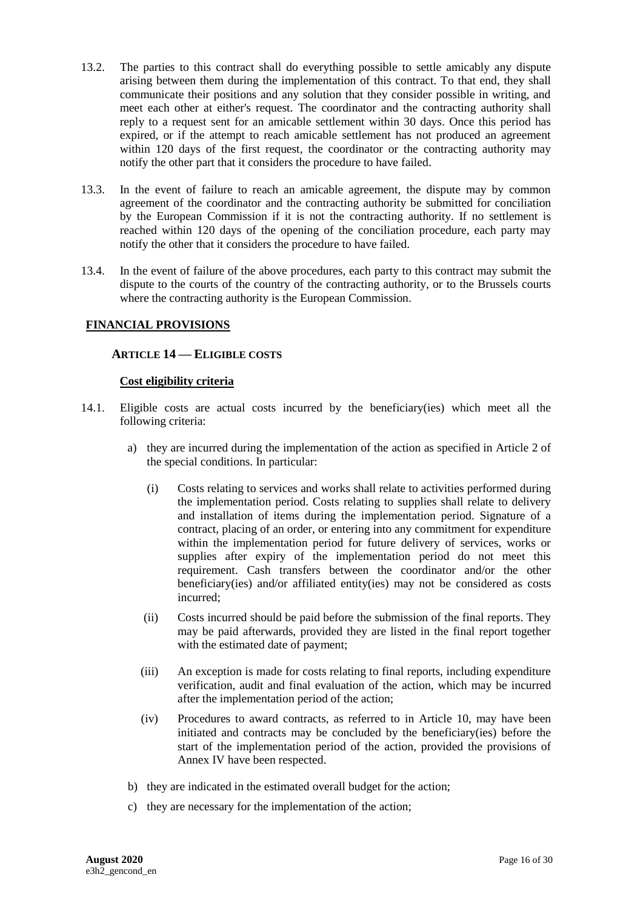- 13.2. The parties to this contract shall do everything possible to settle amicably any dispute arising between them during the implementation of this contract. To that end, they shall communicate their positions and any solution that they consider possible in writing, and meet each other at either's request. The coordinator and the contracting authority shall reply to a request sent for an amicable settlement within 30 days. Once this period has expired, or if the attempt to reach amicable settlement has not produced an agreement within 120 days of the first request, the coordinator or the contracting authority may notify the other part that it considers the procedure to have failed.
- 13.3. In the event of failure to reach an amicable agreement, the dispute may by common agreement of the coordinator and the contracting authority be submitted for conciliation by the European Commission if it is not the contracting authority. If no settlement is reached within 120 days of the opening of the conciliation procedure, each party may notify the other that it considers the procedure to have failed.
- 13.4. In the event of failure of the above procedures, each party to this contract may submit the dispute to the courts of the country of the contracting authority, or to the Brussels courts where the contracting authority is the European Commission.

## <span id="page-15-0"></span>**FINANCIAL PROVISIONS**

## **14. ARTICLE 14 — ELIGIBLE COSTS**

#### **Cost eligibility criteria**

- 14.1. Eligible costs are actual costs incurred by the beneficiary(ies) which meet all the following criteria:
	- a) they are incurred during the implementation of the action as specified in Article 2 of the special conditions. In particular:
		- (i) Costs relating to services and works shall relate to activities performed during the implementation period. Costs relating to supplies shall relate to delivery and installation of items during the implementation period. Signature of a contract, placing of an order, or entering into any commitment for expenditure within the implementation period for future delivery of services, works or supplies after expiry of the implementation period do not meet this requirement. Cash transfers between the coordinator and/or the other beneficiary(ies) and/or affiliated entity(ies) may not be considered as costs incurred;
		- (ii) Costs incurred should be paid before the submission of the final reports. They may be paid afterwards, provided they are listed in the final report together with the estimated date of payment;
		- (iii) An exception is made for costs relating to final reports, including expenditure verification, audit and final evaluation of the action, which may be incurred after the implementation period of the action;
		- (iv) Procedures to award contracts, as referred to in Article 10, may have been initiated and contracts may be concluded by the beneficiary(ies) before the start of the implementation period of the action, provided the provisions of Annex IV have been respected.
	- b) they are indicated in the estimated overall budget for the action;
	- c) they are necessary for the implementation of the action;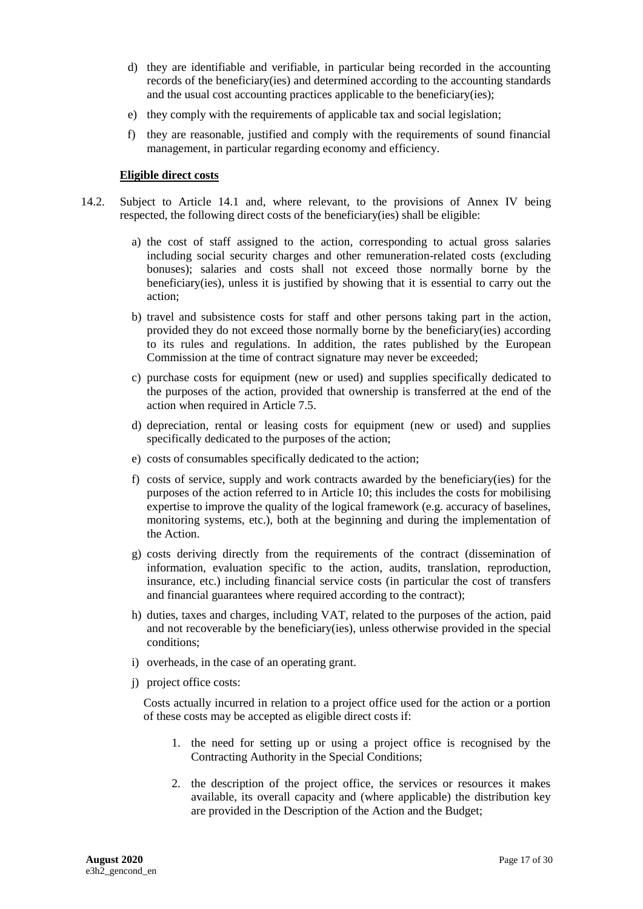- d) they are identifiable and verifiable, in particular being recorded in the accounting records of the beneficiary(ies) and determined according to the accounting standards and the usual cost accounting practices applicable to the beneficiary(ies);
- e) they comply with the requirements of applicable tax and social legislation;
- f) they are reasonable, justified and comply with the requirements of sound financial management, in particular regarding economy and efficiency.

#### **Eligible direct costs**

- 14.2. Subject to Article 14.1 and, where relevant, to the provisions of Annex IV being respected, the following direct costs of the beneficiary(ies) shall be eligible:
	- a) the cost of staff assigned to the action, corresponding to actual gross salaries including social security charges and other remuneration-related costs (excluding bonuses); salaries and costs shall not exceed those normally borne by the beneficiary(ies), unless it is justified by showing that it is essential to carry out the action;
	- b) travel and subsistence costs for staff and other persons taking part in the action, provided they do not exceed those normally borne by the beneficiary(ies) according to its rules and regulations. In addition, the rates published by the European Commission at the time of contract signature may never be exceeded;
	- c) purchase costs for equipment (new or used) and supplies specifically dedicated to the purposes of the action, provided that ownership is transferred at the end of the action when required in Article 7.5.
	- d) depreciation, rental or leasing costs for equipment (new or used) and supplies specifically dedicated to the purposes of the action;
	- e) costs of consumables specifically dedicated to the action;
	- f) costs of service, supply and work contracts awarded by the beneficiary(ies) for the purposes of the action referred to in Article 10; this includes the costs for mobilising expertise to improve the quality of the logical framework (e.g. accuracy of baselines, monitoring systems, etc.), both at the beginning and during the implementation of the Action.
	- g) costs deriving directly from the requirements of the contract (dissemination of information, evaluation specific to the action, audits, translation, reproduction, insurance, etc.) including financial service costs (in particular the cost of transfers and financial guarantees where required according to the contract);
	- h) duties, taxes and charges, including VAT, related to the purposes of the action, paid and not recoverable by the beneficiary(ies), unless otherwise provided in the special conditions;
	- i) overheads, in the case of an operating grant.
	- j) project office costs:

Costs actually incurred in relation to a project office used for the action or a portion of these costs may be accepted as eligible direct costs if:

- 1. the need for setting up or using a project office is recognised by the Contracting Authority in the Special Conditions;
- 2. the description of the project office, the services or resources it makes available, its overall capacity and (where applicable) the distribution key are provided in the Description of the Action and the Budget;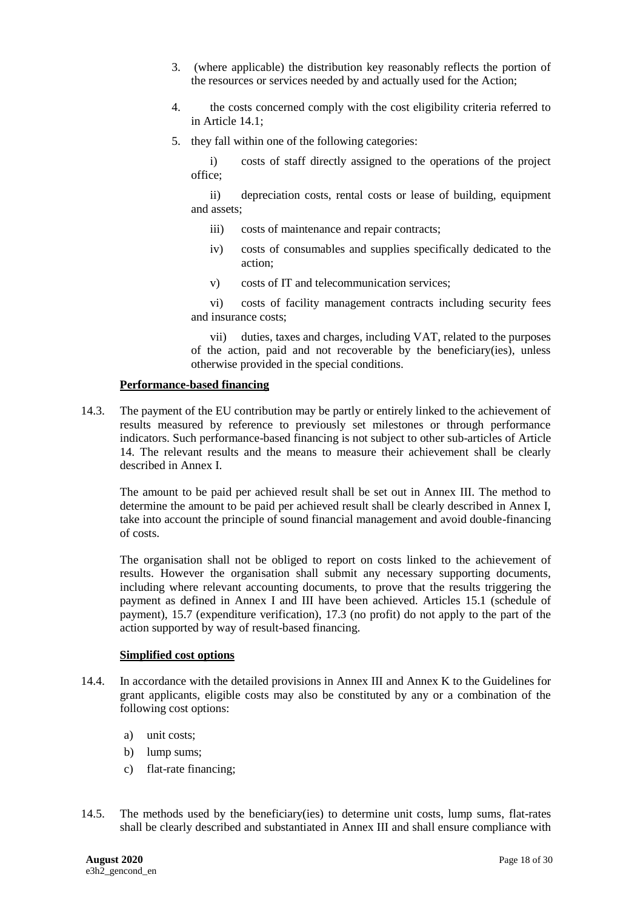- 3. (where applicable) the distribution key reasonably reflects the portion of the resources or services needed by and actually used for the Action;
- 4. the costs concerned comply with the cost eligibility criteria referred to in Article 14.1;
- 5. they fall within one of the following categories:

i) costs of staff directly assigned to the operations of the project office;

ii) depreciation costs, rental costs or lease of building, equipment and assets;

- iii) costs of maintenance and repair contracts;
- iv) costs of consumables and supplies specifically dedicated to the action;
- v) costs of IT and telecommunication services;

vi) costs of facility management contracts including security fees and insurance costs;

vii) duties, taxes and charges, including VAT, related to the purposes of the action, paid and not recoverable by the beneficiary(ies), unless otherwise provided in the special conditions.

#### **Performance-based financing**

14.3. The payment of the EU contribution may be partly or entirely linked to the achievement of results measured by reference to previously set milestones or through performance indicators. Such performance-based financing is not subject to other sub-articles of Article 14. The relevant results and the means to measure their achievement shall be clearly described in Annex I.

The amount to be paid per achieved result shall be set out in Annex III. The method to determine the amount to be paid per achieved result shall be clearly described in Annex I, take into account the principle of sound financial management and avoid double-financing of costs.

The organisation shall not be obliged to report on costs linked to the achievement of results. However the organisation shall submit any necessary supporting documents, including where relevant accounting documents, to prove that the results triggering the payment as defined in Annex I and III have been achieved. Articles 15.1 (schedule of payment), 15.7 (expenditure verification), 17.3 (no profit) do not apply to the part of the action supported by way of result-based financing.

#### **Simplified cost options**

- 14.4. In accordance with the detailed provisions in Annex III and Annex K to the Guidelines for grant applicants, eligible costs may also be constituted by any or a combination of the following cost options:
	- a) unit costs;
	- b) lump sums;
	- c) flat-rate financing;
- 14.5. The methods used by the beneficiary(ies) to determine unit costs, lump sums, flat-rates shall be clearly described and substantiated in Annex III and shall ensure compliance with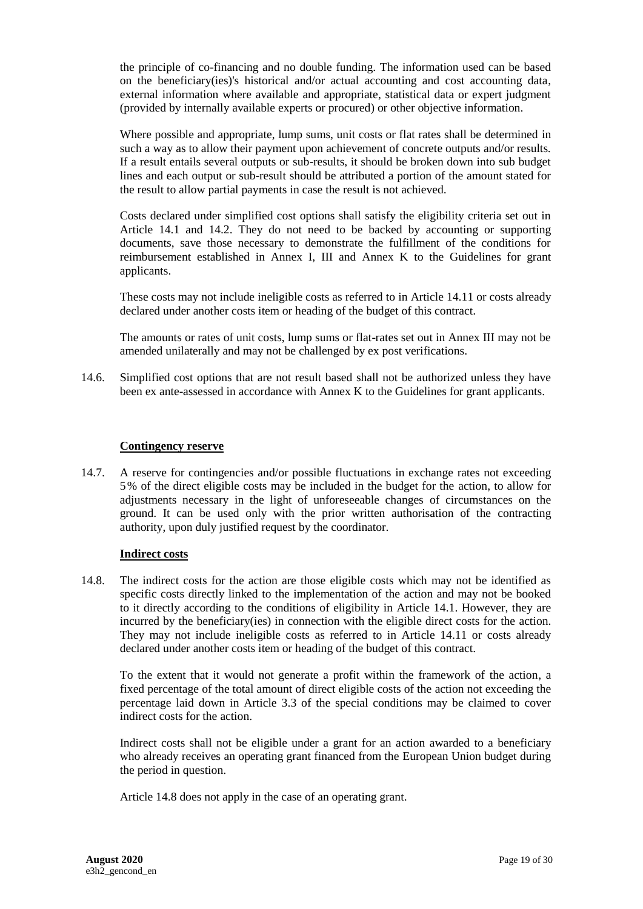the principle of co-financing and no double funding. The information used can be based on the beneficiary(ies)'s historical and/or actual accounting and cost accounting data, external information where available and appropriate, statistical data or expert judgment (provided by internally available experts or procured) or other objective information.

Where possible and appropriate, lump sums, unit costs or flat rates shall be determined in such a way as to allow their payment upon achievement of concrete outputs and/or results. If a result entails several outputs or sub-results, it should be broken down into sub budget lines and each output or sub-result should be attributed a portion of the amount stated for the result to allow partial payments in case the result is not achieved.

Costs declared under simplified cost options shall satisfy the eligibility criteria set out in Article 14.1 and 14.2. They do not need to be backed by accounting or supporting documents, save those necessary to demonstrate the fulfillment of the conditions for reimbursement established in Annex I, III and Annex K to the Guidelines for grant applicants.

These costs may not include ineligible costs as referred to in Article 14.11 or costs already declared under another costs item or heading of the budget of this contract.

The amounts or rates of unit costs, lump sums or flat-rates set out in Annex III may not be amended unilaterally and may not be challenged by ex post verifications.

14.6. Simplified cost options that are not result based shall not be authorized unless they have been ex ante-assessed in accordance with Annex K to the Guidelines for grant applicants.

#### **Contingency reserve**

14.7. A reserve for contingencies and/or possible fluctuations in exchange rates not exceeding 5% of the direct eligible costs may be included in the budget for the action, to allow for adjustments necessary in the light of unforeseeable changes of circumstances on the ground. It can be used only with the prior written authorisation of the contracting authority, upon duly justified request by the coordinator.

#### **Indirect costs**

14.8. The indirect costs for the action are those eligible costs which may not be identified as specific costs directly linked to the implementation of the action and may not be booked to it directly according to the conditions of eligibility in Article 14.1. However, they are incurred by the beneficiary(ies) in connection with the eligible direct costs for the action. They may not include ineligible costs as referred to in Article 14.11 or costs already declared under another costs item or heading of the budget of this contract.

To the extent that it would not generate a profit within the framework of the action, a fixed percentage of the total amount of direct eligible costs of the action not exceeding the percentage laid down in Article 3.3 of the special conditions may be claimed to cover indirect costs for the action.

Indirect costs shall not be eligible under a grant for an action awarded to a beneficiary who already receives an operating grant financed from the European Union budget during the period in question.

Article 14.8 does not apply in the case of an operating grant.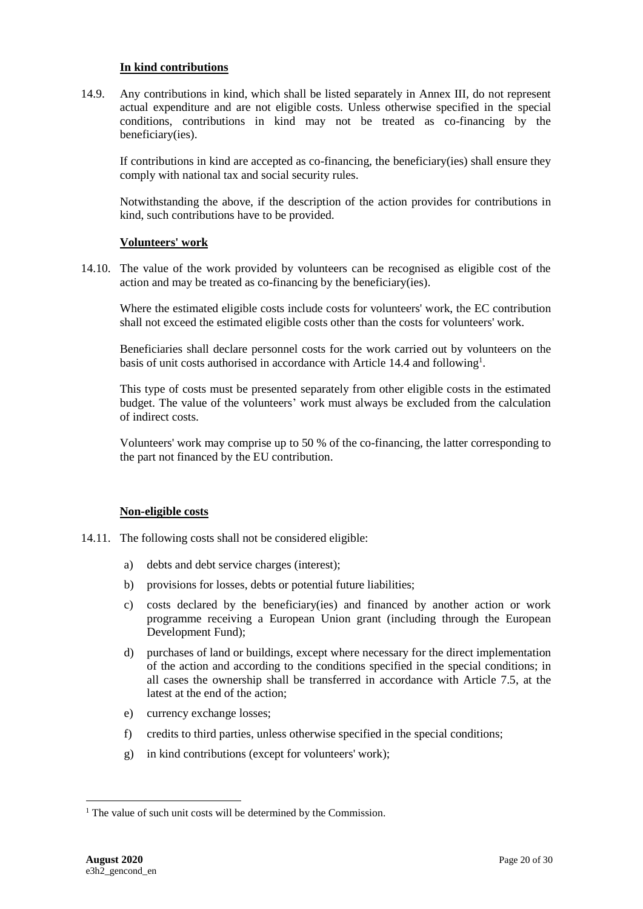#### **In kind contributions**

14.9. Any contributions in kind, which shall be listed separately in Annex III, do not represent actual expenditure and are not eligible costs. Unless otherwise specified in the special conditions, contributions in kind may not be treated as co-financing by the beneficiary(ies).

If contributions in kind are accepted as co-financing, the beneficiary(ies) shall ensure they comply with national tax and social security rules.

Notwithstanding the above, if the description of the action provides for contributions in kind, such contributions have to be provided.

#### **Volunteers' work**

14.10. The value of the work provided by volunteers can be recognised as eligible cost of the action and may be treated as co-financing by the beneficiary(ies).

Where the estimated eligible costs include costs for volunteers' work, the EC contribution shall not exceed the estimated eligible costs other than the costs for volunteers' work.

Beneficiaries shall declare personnel costs for the work carried out by volunteers on the basis of unit costs authorised in accordance with Article 14.4 and following<sup>1</sup>.

This type of costs must be presented separately from other eligible costs in the estimated budget. The value of the volunteers' work must always be excluded from the calculation of indirect costs.

Volunteers' work may comprise up to 50 % of the co-financing, the latter corresponding to the part not financed by the EU contribution.

#### **Non-eligible costs**

- 14.11. The following costs shall not be considered eligible:
	- a) debts and debt service charges (interest);
	- b) provisions for losses, debts or potential future liabilities;
	- c) costs declared by the beneficiary(ies) and financed by another action or work programme receiving a European Union grant (including through the European Development Fund);
	- d) purchases of land or buildings, except where necessary for the direct implementation of the action and according to the conditions specified in the special conditions; in all cases the ownership shall be transferred in accordance with Article 7.5, at the latest at the end of the action;
	- e) currency exchange losses;
	- f) credits to third parties, unless otherwise specified in the special conditions;
	- g) in kind contributions (except for volunteers' work);

 $\overline{a}$ 

<sup>&</sup>lt;sup>1</sup> The value of such unit costs will be determined by the Commission.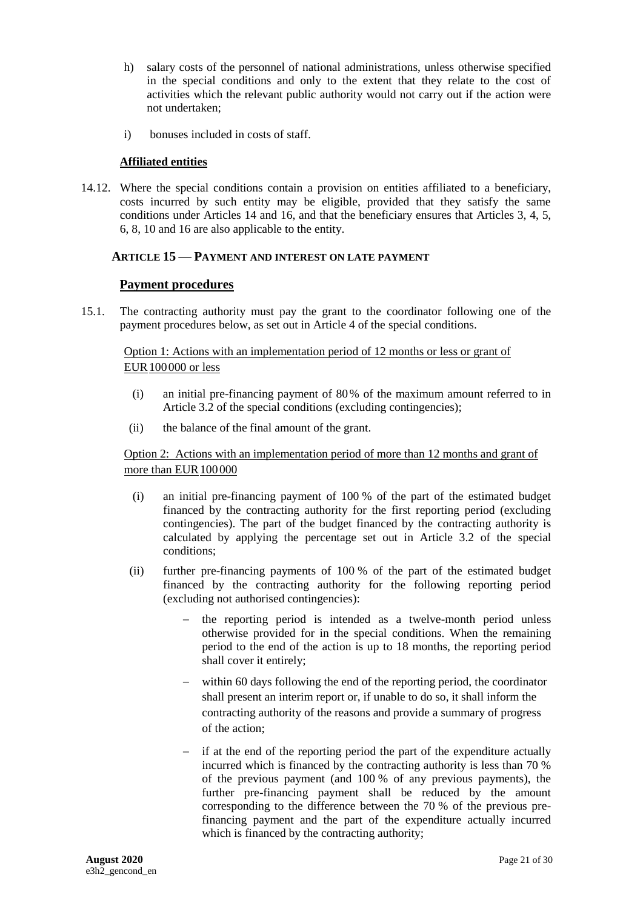- h) salary costs of the personnel of national administrations, unless otherwise specified in the special conditions and only to the extent that they relate to the cost of activities which the relevant public authority would not carry out if the action were not undertaken;
- i) bonuses included in costs of staff.

## **Affiliated entities**

14.12. Where the special conditions contain a provision on entities affiliated to a beneficiary, costs incurred by such entity may be eligible, provided that they satisfy the same conditions under Articles 14 and 16, and that the beneficiary ensures that Articles 3, 4, 5, 6, 8, 10 and 16 are also applicable to the entity.

## <span id="page-20-0"></span>**15. ARTICLE 15 — PAYMENT AND INTEREST ON LATE PAYMENT**

## **Payment procedures**

15.1. The contracting authority must pay the grant to the coordinator following one of the payment procedures below, as set out in Article 4 of the special conditions.

## Option 1: Actions with an implementation period of 12 months or less or grant of EUR100000 or less

- (i) an initial pre-financing payment of 80% of the maximum amount referred to in Article 3.2 of the special conditions (excluding contingencies);
- (ii) the balance of the final amount of the grant.

## Option 2: Actions with an implementation period of more than 12 months and grant of more than EUR 100000

- (i) an initial pre-financing payment of 100 % of the part of the estimated budget financed by the contracting authority for the first reporting period (excluding contingencies). The part of the budget financed by the contracting authority is calculated by applying the percentage set out in Article 3.2 of the special conditions;
- (ii) further pre-financing payments of 100 % of the part of the estimated budget financed by the contracting authority for the following reporting period (excluding not authorised contingencies):
	- the reporting period is intended as a twelve-month period unless otherwise provided for in the special conditions. When the remaining period to the end of the action is up to 18 months, the reporting period shall cover it entirely;
	- within 60 days following the end of the reporting period, the coordinator shall present an interim report or, if unable to do so, it shall inform the contracting authority of the reasons and provide a summary of progress of the action;
	- $\overline{a}$  if at the end of the reporting period the part of the expenditure actually incurred which is financed by the contracting authority is less than 70 % of the previous payment (and 100 % of any previous payments), the further pre-financing payment shall be reduced by the amount corresponding to the difference between the 70 % of the previous prefinancing payment and the part of the expenditure actually incurred which is financed by the contracting authority;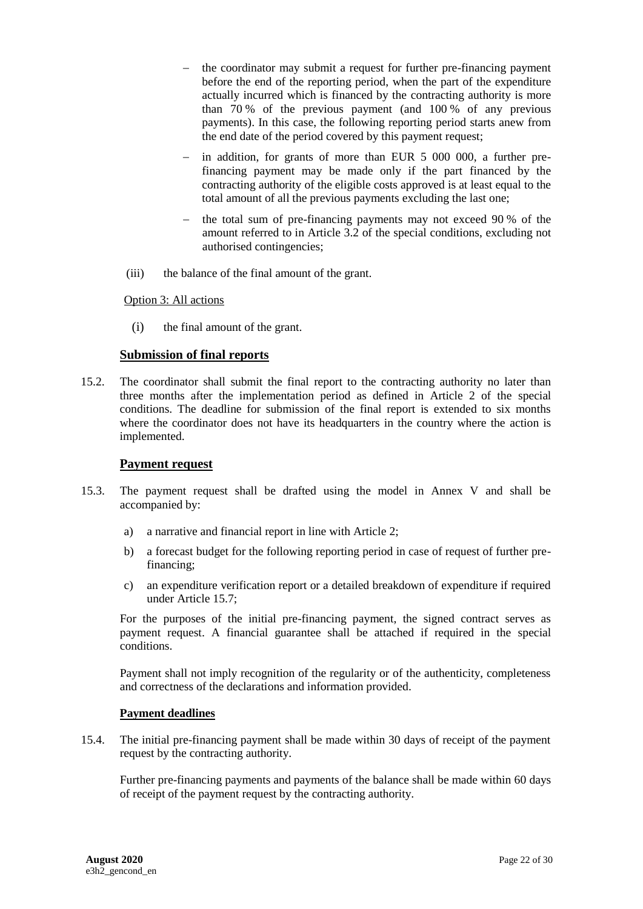- the coordinator may submit a request for further pre-financing payment before the end of the reporting period, when the part of the expenditure actually incurred which is financed by the contracting authority is more than 70 % of the previous payment (and 100 % of any previous payments). In this case, the following reporting period starts anew from the end date of the period covered by this payment request;
- in addition, for grants of more than EUR 5 000 000, a further prefinancing payment may be made only if the part financed by the contracting authority of the eligible costs approved is at least equal to the total amount of all the previous payments excluding the last one;
- $-$  the total sum of pre-financing payments may not exceed 90 % of the amount referred to in Article 3.2 of the special conditions, excluding not authorised contingencies;
- (iii) the balance of the final amount of the grant.

Option 3: All actions

(i) the final amount of the grant.

## **Submission of final reports**

15.2. The coordinator shall submit the final report to the contracting authority no later than three months after the implementation period as defined in Article 2 of the special conditions. The deadline for submission of the final report is extended to six months where the coordinator does not have its headquarters in the country where the action is implemented.

#### **Payment request**

- 15.3. The payment request shall be drafted using the model in Annex V and shall be accompanied by:
	- a) a narrative and financial report in line with Article 2;
	- b) a forecast budget for the following reporting period in case of request of further prefinancing;
	- c) an expenditure verification report or a detailed breakdown of expenditure if required under Article 15.7;

For the purposes of the initial pre-financing payment, the signed contract serves as payment request. A financial guarantee shall be attached if required in the special conditions.

Payment shall not imply recognition of the regularity or of the authenticity, completeness and correctness of the declarations and information provided.

#### **Payment deadlines**

15.4. The initial pre-financing payment shall be made within 30 days of receipt of the payment request by the contracting authority.

Further pre-financing payments and payments of the balance shall be made within 60 days of receipt of the payment request by the contracting authority.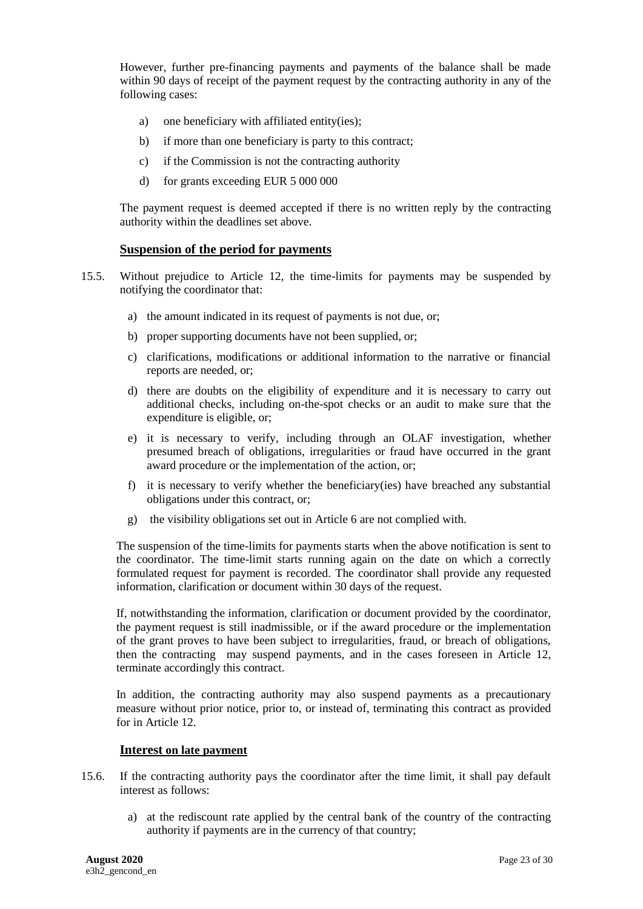However, further pre-financing payments and payments of the balance shall be made within 90 days of receipt of the payment request by the contracting authority in any of the following cases:

- a) one beneficiary with affiliated entity(ies);
- b) if more than one beneficiary is party to this contract;
- c) if the Commission is not the contracting authority
- d) for grants exceeding EUR 5 000 000

The payment request is deemed accepted if there is no written reply by the contracting authority within the deadlines set above.

#### **Suspension of the period for payments**

- 15.5. Without prejudice to Article 12, the time-limits for payments may be suspended by notifying the coordinator that:
	- a) the amount indicated in its request of payments is not due, or;
	- b) proper supporting documents have not been supplied, or;
	- c) clarifications, modifications or additional information to the narrative or financial reports are needed, or;
	- d) there are doubts on the eligibility of expenditure and it is necessary to carry out additional checks, including on-the-spot checks or an audit to make sure that the expenditure is eligible, or;
	- e) it is necessary to verify, including through an OLAF investigation, whether presumed breach of obligations, irregularities or fraud have occurred in the grant award procedure or the implementation of the action, or;
	- f) it is necessary to verify whether the beneficiary(ies) have breached any substantial obligations under this contract, or;
	- g) the visibility obligations set out in Article 6 are not complied with.

The suspension of the time-limits for payments starts when the above notification is sent to the coordinator. The time-limit starts running again on the date on which a correctly formulated request for payment is recorded. The coordinator shall provide any requested information, clarification or document within 30 days of the request.

If, notwithstanding the information, clarification or document provided by the coordinator, the payment request is still inadmissible, or if the award procedure or the implementation of the grant proves to have been subject to irregularities, fraud, or breach of obligations, then the contracting may suspend payments, and in the cases foreseen in Article 12, terminate accordingly this contract.

In addition, the contracting authority may also suspend payments as a precautionary measure without prior notice, prior to, or instead of, terminating this contract as provided for in Article 12.

#### **Interest on late payment**

- 15.6. If the contracting authority pays the coordinator after the time limit, it shall pay default interest as follows:
	- a) at the rediscount rate applied by the central bank of the country of the contracting authority if payments are in the currency of that country;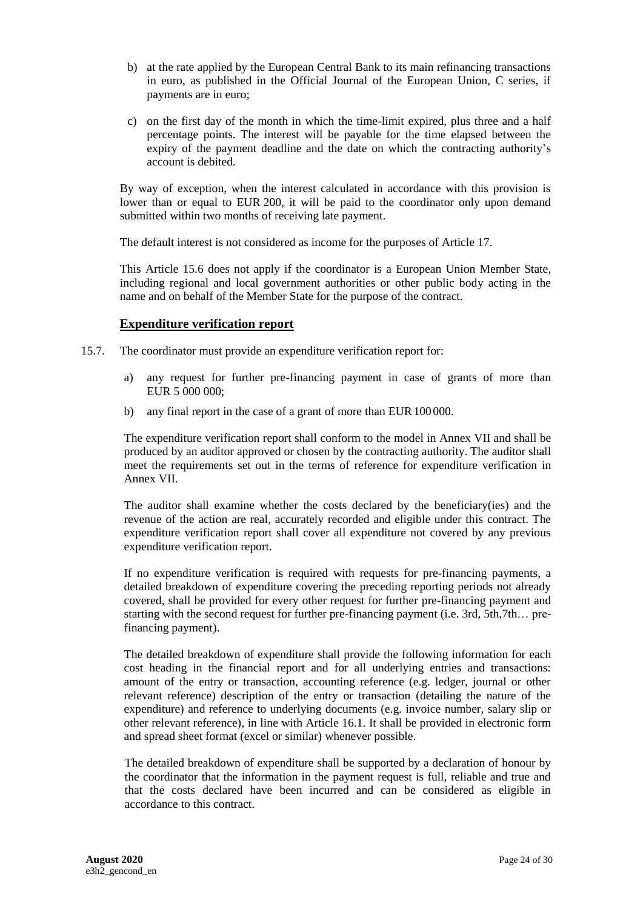- b) at the rate applied by the European Central Bank to its main refinancing transactions in euro, as published in the Official Journal of the European Union, C series, if payments are in euro;
- c) on the first day of the month in which the time-limit expired, plus three and a half percentage points. The interest will be payable for the time elapsed between the expiry of the payment deadline and the date on which the contracting authority's account is debited.

By way of exception, when the interest calculated in accordance with this provision is lower than or equal to EUR 200, it will be paid to the coordinator only upon demand submitted within two months of receiving late payment.

The default interest is not considered as income for the purposes of Article 17.

This Article 15.6 does not apply if the coordinator is a European Union Member State, including regional and local government authorities or other public body acting in the name and on behalf of the Member State for the purpose of the contract.

## **Expenditure verification report**

- 15.7. The coordinator must provide an expenditure verification report for:
	- a) any request for further pre-financing payment in case of grants of more than EUR 5 000 000;
	- b) any final report in the case of a grant of more than EUR 100000.

The expenditure verification report shall conform to the model in Annex VII and shall be produced by an auditor approved or chosen by the contracting authority. The auditor shall meet the requirements set out in the terms of reference for expenditure verification in Annex VII.

The auditor shall examine whether the costs declared by the beneficiary(ies) and the revenue of the action are real, accurately recorded and eligible under this contract. The expenditure verification report shall cover all expenditure not covered by any previous expenditure verification report.

If no expenditure verification is required with requests for pre-financing payments, a detailed breakdown of expenditure covering the preceding reporting periods not already covered, shall be provided for every other request for further pre-financing payment and starting with the second request for further pre-financing payment (i.e. 3rd, 5th,7th… prefinancing payment).

The detailed breakdown of expenditure shall provide the following information for each cost heading in the financial report and for all underlying entries and transactions: amount of the entry or transaction, accounting reference (e.g. ledger, journal or other relevant reference) description of the entry or transaction (detailing the nature of the expenditure) and reference to underlying documents (e.g. invoice number, salary slip or other relevant reference), in line with Article 16.1. It shall be provided in electronic form and spread sheet format (excel or similar) whenever possible.

The detailed breakdown of expenditure shall be supported by a declaration of honour by the coordinator that the information in the payment request is full, reliable and true and that the costs declared have been incurred and can be considered as eligible in accordance to this contract.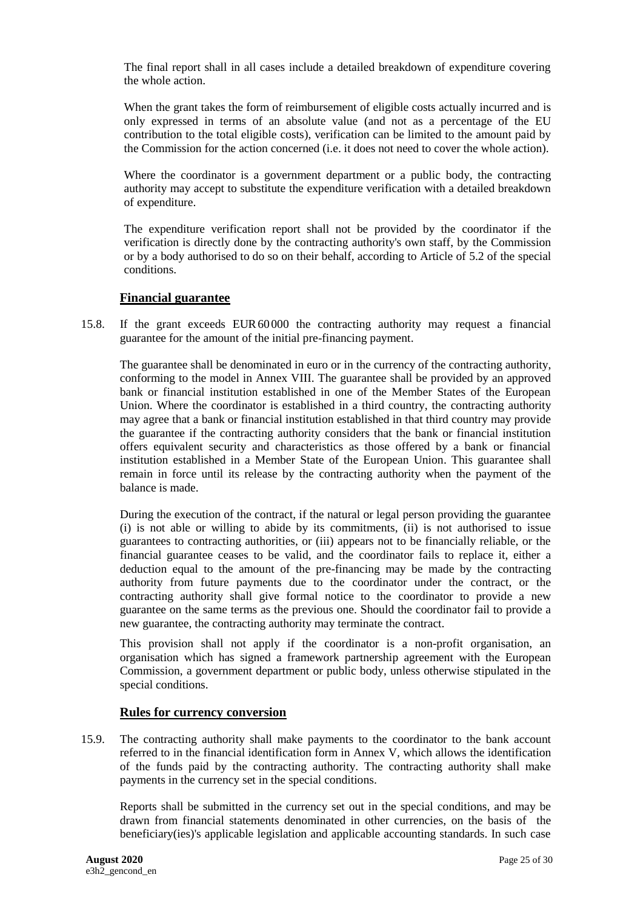The final report shall in all cases include a detailed breakdown of expenditure covering the whole action.

When the grant takes the form of reimbursement of eligible costs actually incurred and is only expressed in terms of an absolute value (and not as a percentage of the EU contribution to the total eligible costs), verification can be limited to the amount paid by the Commission for the action concerned (i.e. it does not need to cover the whole action).

Where the coordinator is a government department or a public body, the contracting authority may accept to substitute the expenditure verification with a detailed breakdown of expenditure.

The expenditure verification report shall not be provided by the coordinator if the verification is directly done by the contracting authority's own staff, by the Commission or by a body authorised to do so on their behalf, according to Article of 5.2 of the special conditions.

## **Financial guarantee**

15.8. If the grant exceeds EUR60000 the contracting authority may request a financial guarantee for the amount of the initial pre-financing payment.

The guarantee shall be denominated in euro or in the currency of the contracting authority, conforming to the model in Annex VIII. The guarantee shall be provided by an approved bank or financial institution established in one of the Member States of the European Union. Where the coordinator is established in a third country, the contracting authority may agree that a bank or financial institution established in that third country may provide the guarantee if the contracting authority considers that the bank or financial institution offers equivalent security and characteristics as those offered by a bank or financial institution established in a Member State of the European Union. This guarantee shall remain in force until its release by the contracting authority when the payment of the balance is made.

During the execution of the contract, if the natural or legal person providing the guarantee (i) is not able or willing to abide by its commitments, (ii) is not authorised to issue guarantees to contracting authorities, or (iii) appears not to be financially reliable, or the financial guarantee ceases to be valid, and the coordinator fails to replace it, either a deduction equal to the amount of the pre-financing may be made by the contracting authority from future payments due to the coordinator under the contract, or the contracting authority shall give formal notice to the coordinator to provide a new guarantee on the same terms as the previous one. Should the coordinator fail to provide a new guarantee, the contracting authority may terminate the contract.

This provision shall not apply if the coordinator is a non-profit organisation, an organisation which has signed a framework partnership agreement with the European Commission, a government department or public body, unless otherwise stipulated in the special conditions.

#### **Rules for currency conversion**

15.9. The contracting authority shall make payments to the coordinator to the bank account referred to in the financial identification form in Annex V, which allows the identification of the funds paid by the contracting authority. The contracting authority shall make payments in the currency set in the special conditions.

Reports shall be submitted in the currency set out in the special conditions, and may be drawn from financial statements denominated in other currencies, on the basis of the beneficiary(ies)'s applicable legislation and applicable accounting standards. In such case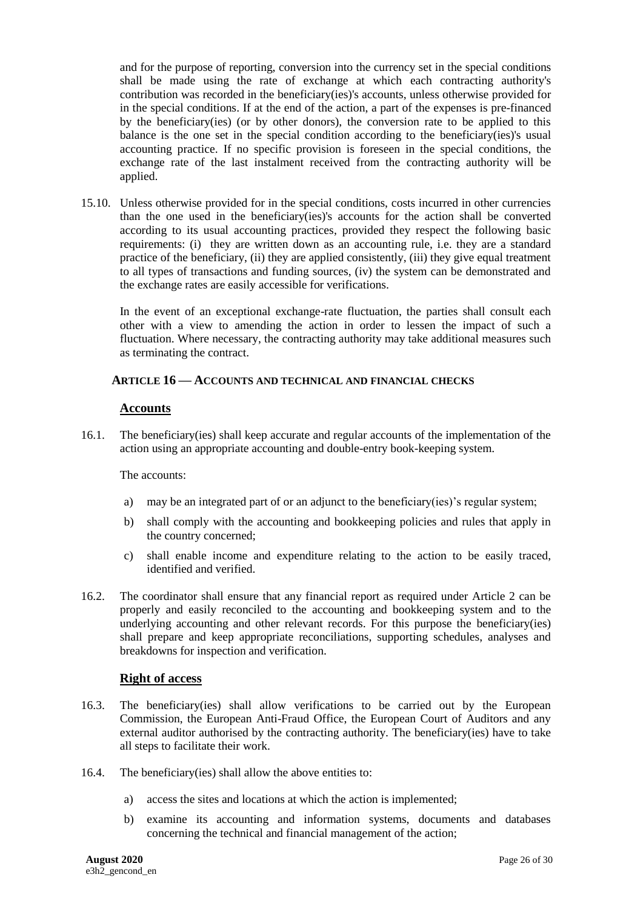and for the purpose of reporting, conversion into the currency set in the special conditions shall be made using the rate of exchange at which each contracting authority's contribution was recorded in the beneficiary(ies)'s accounts, unless otherwise provided for in the special conditions. If at the end of the action, a part of the expenses is pre-financed by the beneficiary(ies) (or by other donors), the conversion rate to be applied to this balance is the one set in the special condition according to the beneficiary(ies)'s usual accounting practice. If no specific provision is foreseen in the special conditions, the exchange rate of the last instalment received from the contracting authority will be applied.

15.10. Unless otherwise provided for in the special conditions, costs incurred in other currencies than the one used in the beneficiary(ies)'s accounts for the action shall be converted according to its usual accounting practices, provided they respect the following basic requirements: (i) they are written down as an accounting rule, i.e. they are a standard practice of the beneficiary, (ii) they are applied consistently, (iii) they give equal treatment to all types of transactions and funding sources, (iv) the system can be demonstrated and the exchange rates are easily accessible for verifications.

In the event of an exceptional exchange-rate fluctuation, the parties shall consult each other with a view to amending the action in order to lessen the impact of such a fluctuation. Where necessary, the contracting authority may take additional measures such as terminating the contract.

## <span id="page-25-0"></span>**16. ARTICLE 16 — ACCOUNTS AND TECHNICAL AND FINANCIAL CHECKS**

## **Accounts**

16.1. The beneficiary(ies) shall keep accurate and regular accounts of the implementation of the action using an appropriate accounting and double-entry book-keeping system.

#### The accounts:

- a) may be an integrated part of or an adjunct to the beneficiary(ies)'s regular system;
- b) shall comply with the accounting and bookkeeping policies and rules that apply in the country concerned;
- c) shall enable income and expenditure relating to the action to be easily traced, identified and verified.
- 16.2. The coordinator shall ensure that any financial report as required under Article 2 can be properly and easily reconciled to the accounting and bookkeeping system and to the underlying accounting and other relevant records. For this purpose the beneficiary(ies) shall prepare and keep appropriate reconciliations, supporting schedules, analyses and breakdowns for inspection and verification.

## **Right of access**

- 16.3. The beneficiary(ies) shall allow verifications to be carried out by the European Commission, the European Anti-Fraud Office, the European Court of Auditors and any external auditor authorised by the contracting authority. The beneficiary(ies) have to take all steps to facilitate their work.
- 16.4. The beneficiary(ies) shall allow the above entities to:
	- a) access the sites and locations at which the action is implemented;
	- b) examine its accounting and information systems, documents and databases concerning the technical and financial management of the action;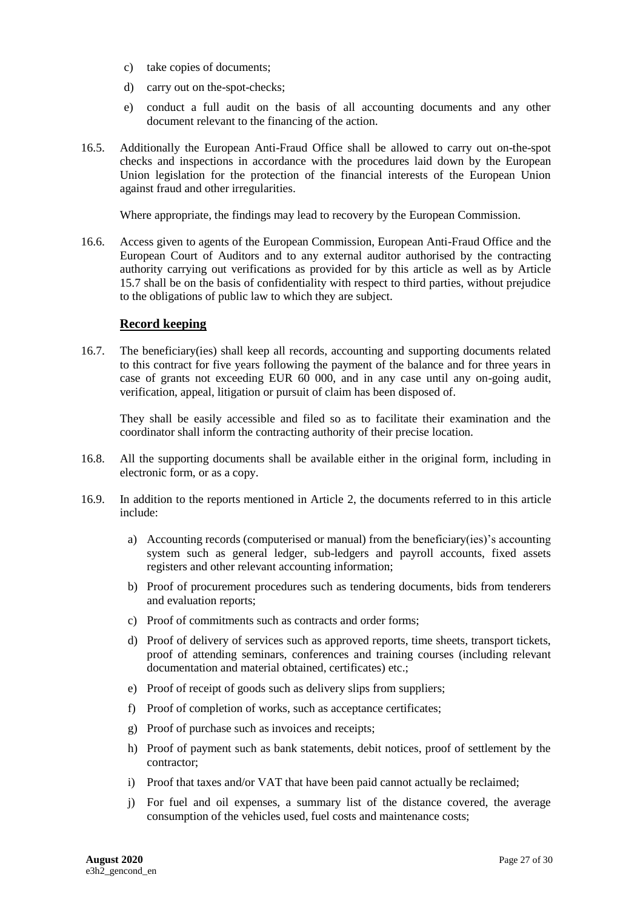- c) take copies of documents;
- d) carry out on the-spot-checks;
- e) conduct a full audit on the basis of all accounting documents and any other document relevant to the financing of the action.
- 16.5. Additionally the European Anti-Fraud Office shall be allowed to carry out on-the-spot checks and inspections in accordance with the procedures laid down by the European Union legislation for the protection of the financial interests of the European Union against fraud and other irregularities.

Where appropriate, the findings may lead to recovery by the European Commission.

16.6. Access given to agents of the European Commission, European Anti-Fraud Office and the European Court of Auditors and to any external auditor authorised by the contracting authority carrying out verifications as provided for by this article as well as by Article 15.7 shall be on the basis of confidentiality with respect to third parties, without prejudice to the obligations of public law to which they are subject.

#### **Record keeping**

16.7. The beneficiary(ies) shall keep all records, accounting and supporting documents related to this contract for five years following the payment of the balance and for three years in case of grants not exceeding EUR 60 000, and in any case until any on-going audit, verification, appeal, litigation or pursuit of claim has been disposed of.

They shall be easily accessible and filed so as to facilitate their examination and the coordinator shall inform the contracting authority of their precise location.

- 16.8. All the supporting documents shall be available either in the original form, including in electronic form, or as a copy.
- 16.9. In addition to the reports mentioned in Article [2,](#page-4-1) the documents referred to in this article include:
	- a) Accounting records (computerised or manual) from the beneficiary(ies)'s accounting system such as general ledger, sub-ledgers and payroll accounts, fixed assets registers and other relevant accounting information;
	- b) Proof of procurement procedures such as tendering documents, bids from tenderers and evaluation reports;
	- c) Proof of commitments such as contracts and order forms;
	- d) Proof of delivery of services such as approved reports, time sheets, transport tickets, proof of attending seminars, conferences and training courses (including relevant documentation and material obtained, certificates) etc.;
	- e) Proof of receipt of goods such as delivery slips from suppliers;
	- f) Proof of completion of works, such as acceptance certificates;
	- g) Proof of purchase such as invoices and receipts;
	- h) Proof of payment such as bank statements, debit notices, proof of settlement by the contractor;
	- i) Proof that taxes and/or VAT that have been paid cannot actually be reclaimed;
	- j) For fuel and oil expenses, a summary list of the distance covered, the average consumption of the vehicles used, fuel costs and maintenance costs;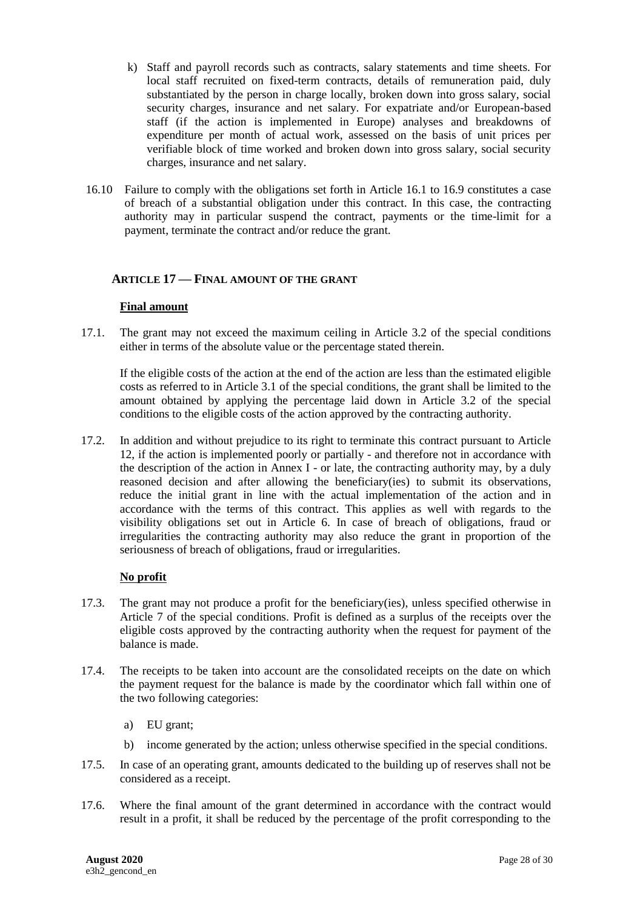- k) Staff and payroll records such as contracts, salary statements and time sheets. For local staff recruited on fixed-term contracts, details of remuneration paid, duly substantiated by the person in charge locally, broken down into gross salary, social security charges, insurance and net salary. For expatriate and/or European-based staff (if the action is implemented in Europe) analyses and breakdowns of expenditure per month of actual work, assessed on the basis of unit prices per verifiable block of time worked and broken down into gross salary, social security charges, insurance and net salary.
- 16.10 Failure to comply with the obligations set forth in Article 16.1 to 16.9 constitutes a case of breach of a substantial obligation under this contract. In this case, the contracting authority may in particular suspend the contract, payments or the time-limit for a payment, terminate the contract and/or reduce the grant.

## <span id="page-27-0"></span>**17. ARTICLE 17 — FINAL AMOUNT OF THE GRANT**

#### **Final amount**

17.1. The grant may not exceed the maximum ceiling in Article 3.2 of the special conditions either in terms of the absolute value or the percentage stated therein.

If the eligible costs of the action at the end of the action are less than the estimated eligible costs as referred to in Article 3.1 of the special conditions, the grant shall be limited to the amount obtained by applying the percentage laid down in Article 3.2 of the special conditions to the eligible costs of the action approved by the contracting authority.

17.2. In addition and without prejudice to its right to terminate this contract pursuant to Article 12, if the action is implemented poorly or partially - and therefore not in accordance with the description of the action in Annex I - or late, the contracting authority may, by a duly reasoned decision and after allowing the beneficiary(ies) to submit its observations, reduce the initial grant in line with the actual implementation of the action and in accordance with the terms of this contract. This applies as well with regards to the visibility obligations set out in Article 6. In case of breach of obligations, fraud or irregularities the contracting authority may also reduce the grant in proportion of the seriousness of breach of obligations, fraud or irregularities.

#### **No profit**

- 17.3. The grant may not produce a profit for the beneficiary(ies), unless specified otherwise in Article 7 of the special conditions. Profit is defined as a surplus of the receipts over the eligible costs approved by the contracting authority when the request for payment of the balance is made.
- 17.4. The receipts to be taken into account are the consolidated receipts on the date on which the payment request for the balance is made by the coordinator which fall within one of the two following categories:
	- a) EU grant;
	- b) income generated by the action; unless otherwise specified in the special conditions.
- 17.5. In case of an operating grant, amounts dedicated to the building up of reserves shall not be considered as a receipt.
- 17.6. Where the final amount of the grant determined in accordance with the contract would result in a profit, it shall be reduced by the percentage of the profit corresponding to the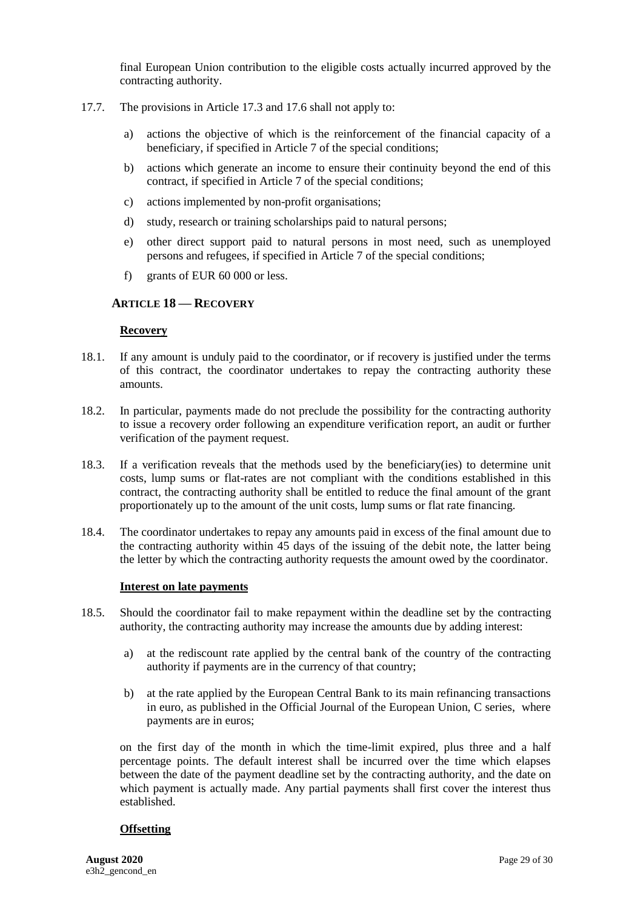final European Union contribution to the eligible costs actually incurred approved by the contracting authority.

- 17.7. The provisions in Article 17.3 and 17.6 shall not apply to:
	- a) actions the objective of which is the reinforcement of the financial capacity of a beneficiary, if specified in Article 7 of the special conditions;
	- b) actions which generate an income to ensure their continuity beyond the end of this contract, if specified in Article 7 of the special conditions;
	- c) actions implemented by non-profit organisations;
	- d) study, research or training scholarships paid to natural persons;
	- e) other direct support paid to natural persons in most need, such as unemployed persons and refugees, if specified in Article 7 of the special conditions;
	- f) grants of EUR 60 000 or less.

## <span id="page-28-0"></span>**18. ARTICLE 18 — RECOVERY**

#### **Recovery**

- 18.1. If any amount is unduly paid to the coordinator, or if recovery is justified under the terms of this contract, the coordinator undertakes to repay the contracting authority these amounts.
- 18.2. In particular, payments made do not preclude the possibility for the contracting authority to issue a recovery order following an expenditure verification report, an audit or further verification of the payment request.
- 18.3. If a verification reveals that the methods used by the beneficiary(ies) to determine unit costs, lump sums or flat-rates are not compliant with the conditions established in this contract, the contracting authority shall be entitled to reduce the final amount of the grant proportionately up to the amount of the unit costs, lump sums or flat rate financing.
- 18.4. The coordinator undertakes to repay any amounts paid in excess of the final amount due to the contracting authority within 45 days of the issuing of the debit note, the latter being the letter by which the contracting authority requests the amount owed by the coordinator.

#### **Interest on late payments**

- 18.5. Should the coordinator fail to make repayment within the deadline set by the contracting authority, the contracting authority may increase the amounts due by adding interest:
	- a) at the rediscount rate applied by the central bank of the country of the contracting authority if payments are in the currency of that country;
	- b) at the rate applied by the European Central Bank to its main refinancing transactions in euro, as published in the Official Journal of the European Union, C series, where payments are in euros;

on the first day of the month in which the time-limit expired, plus three and a half percentage points. The default interest shall be incurred over the time which elapses between the date of the payment deadline set by the contracting authority, and the date on which payment is actually made. Any partial payments shall first cover the interest thus established.

#### **Offsetting**